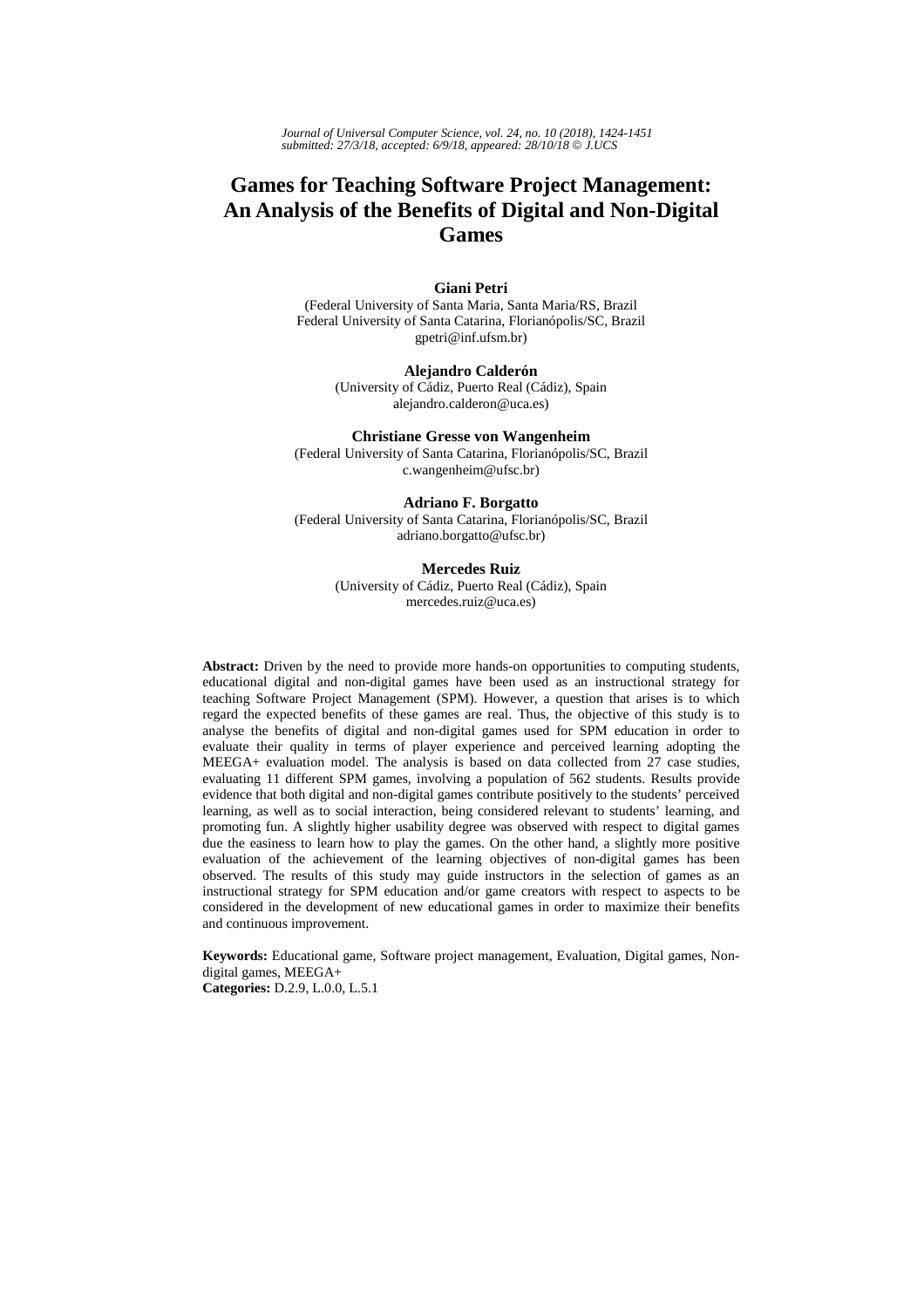*Journal of Universal Computer Science, vol. 24, no. 10 (2018), 1424-1451 submitted: 27/3/18, accepted: 6/9/18, appeared: 28/10/18* © *J.UCS*

# **Games for Teaching Software Project Management: An Analysis of the Benefits of Digital and Non-Digital Games**

# **Giani Petri**

(Federal University of Santa Maria, Santa Maria/RS, Brazil Federal University of Santa Catarina, Florianópolis/SC, Brazil gpetri@inf.ufsm.br)

> **Alejandro Calderón**  (University of Cádiz, Puerto Real (Cádiz), Spain alejandro.calderon@uca.es)

# **Christiane Gresse von Wangenheim**

(Federal University of Santa Catarina, Florianópolis/SC, Brazil c.wangenheim@ufsc.br)

**Adriano F. Borgatto** (Federal University of Santa Catarina, Florianópolis/SC, Brazil adriano.borgatto@ufsc.br)

#### **Mercedes Ruiz**

(University of Cádiz, Puerto Real (Cádiz), Spain mercedes.ruiz@uca.es)

**Abstract:** Driven by the need to provide more hands-on opportunities to computing students, educational digital and non-digital games have been used as an instructional strategy for teaching Software Project Management (SPM). However, a question that arises is to which regard the expected benefits of these games are real. Thus, the objective of this study is to analyse the benefits of digital and non-digital games used for SPM education in order to evaluate their quality in terms of player experience and perceived learning adopting the MEEGA+ evaluation model. The analysis is based on data collected from 27 case studies, evaluating 11 different SPM games, involving a population of 562 students. Results provide evidence that both digital and non-digital games contribute positively to the students' perceived learning, as well as to social interaction, being considered relevant to students' learning, and promoting fun. A slightly higher usability degree was observed with respect to digital games due the easiness to learn how to play the games. On the other hand, a slightly more positive evaluation of the achievement of the learning objectives of non-digital games has been observed. The results of this study may guide instructors in the selection of games as an instructional strategy for SPM education and/or game creators with respect to aspects to be considered in the development of new educational games in order to maximize their benefits and continuous improvement.

**Keywords:** Educational game, Software project management, Evaluation, Digital games, Nondigital games, MEEGA+

**Categories:** D.2.9, L.0.0, L.5.1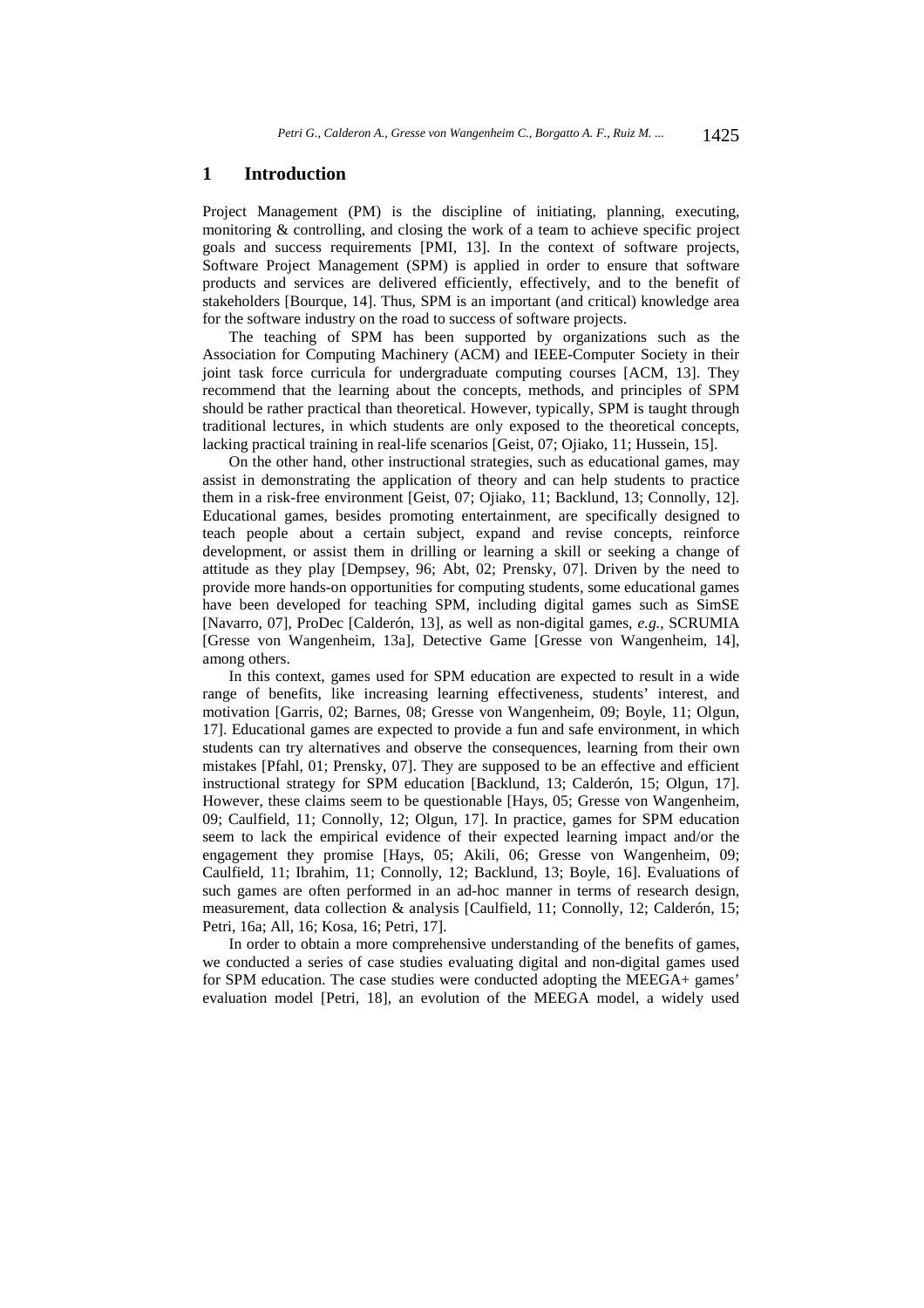# **1 Introduction**

Project Management (PM) is the discipline of initiating, planning, executing, monitoring & controlling, and closing the work of a team to achieve specific project goals and success requirements [PMI, 13]. In the context of software projects, Software Project Management (SPM) is applied in order to ensure that software products and services are delivered efficiently, effectively, and to the benefit of stakeholders [Bourque, 14]. Thus, SPM is an important (and critical) knowledge area for the software industry on the road to success of software projects.

The teaching of SPM has been supported by organizations such as the Association for Computing Machinery (ACM) and IEEE-Computer Society in their joint task force curricula for undergraduate computing courses [ACM, 13]. They recommend that the learning about the concepts, methods, and principles of SPM should be rather practical than theoretical. However, typically, SPM is taught through traditional lectures, in which students are only exposed to the theoretical concepts, lacking practical training in real-life scenarios [Geist, 07; Ojiako, 11; Hussein, 15].

On the other hand, other instructional strategies, such as educational games, may assist in demonstrating the application of theory and can help students to practice them in a risk-free environment [Geist, 07; Ojiako, 11; Backlund, 13; Connolly, 12]. Educational games, besides promoting entertainment, are specifically designed to teach people about a certain subject, expand and revise concepts, reinforce development, or assist them in drilling or learning a skill or seeking a change of attitude as they play [Dempsey, 96; Abt, 02; Prensky, 07]. Driven by the need to provide more hands-on opportunities for computing students, some educational games have been developed for teaching SPM, including digital games such as SimSE [Navarro, 07], ProDec [Calderón, 13], as well as non-digital games, *e.g.*, SCRUMIA [Gresse von Wangenheim, 13a], Detective Game [Gresse von Wangenheim, 14], among others.

In this context, games used for SPM education are expected to result in a wide range of benefits, like increasing learning effectiveness, students' interest, and motivation [Garris, 02; Barnes, 08; Gresse von Wangenheim, 09; Boyle, 11; Olgun, 17]. Educational games are expected to provide a fun and safe environment, in which students can try alternatives and observe the consequences, learning from their own mistakes [Pfahl, 01; Prensky, 07]. They are supposed to be an effective and efficient instructional strategy for SPM education [Backlund, 13; Calderón, 15; Olgun, 17]. However, these claims seem to be questionable [Hays, 05; Gresse von Wangenheim, 09; Caulfield, 11; Connolly, 12; Olgun, 17]. In practice, games for SPM education seem to lack the empirical evidence of their expected learning impact and/or the engagement they promise [Hays, 05; Akili, 06; Gresse von Wangenheim, 09; Caulfield, 11; Ibrahim, 11; Connolly, 12; Backlund, 13; Boyle, 16]. Evaluations of such games are often performed in an ad-hoc manner in terms of research design, measurement, data collection & analysis [Caulfield, 11; Connolly, 12; Calderón, 15; Petri, 16a; All, 16; Kosa, 16; Petri, 17].

In order to obtain a more comprehensive understanding of the benefits of games, we conducted a series of case studies evaluating digital and non-digital games used for SPM education. The case studies were conducted adopting the MEEGA+ games' evaluation model [Petri, 18], an evolution of the MEEGA model, a widely used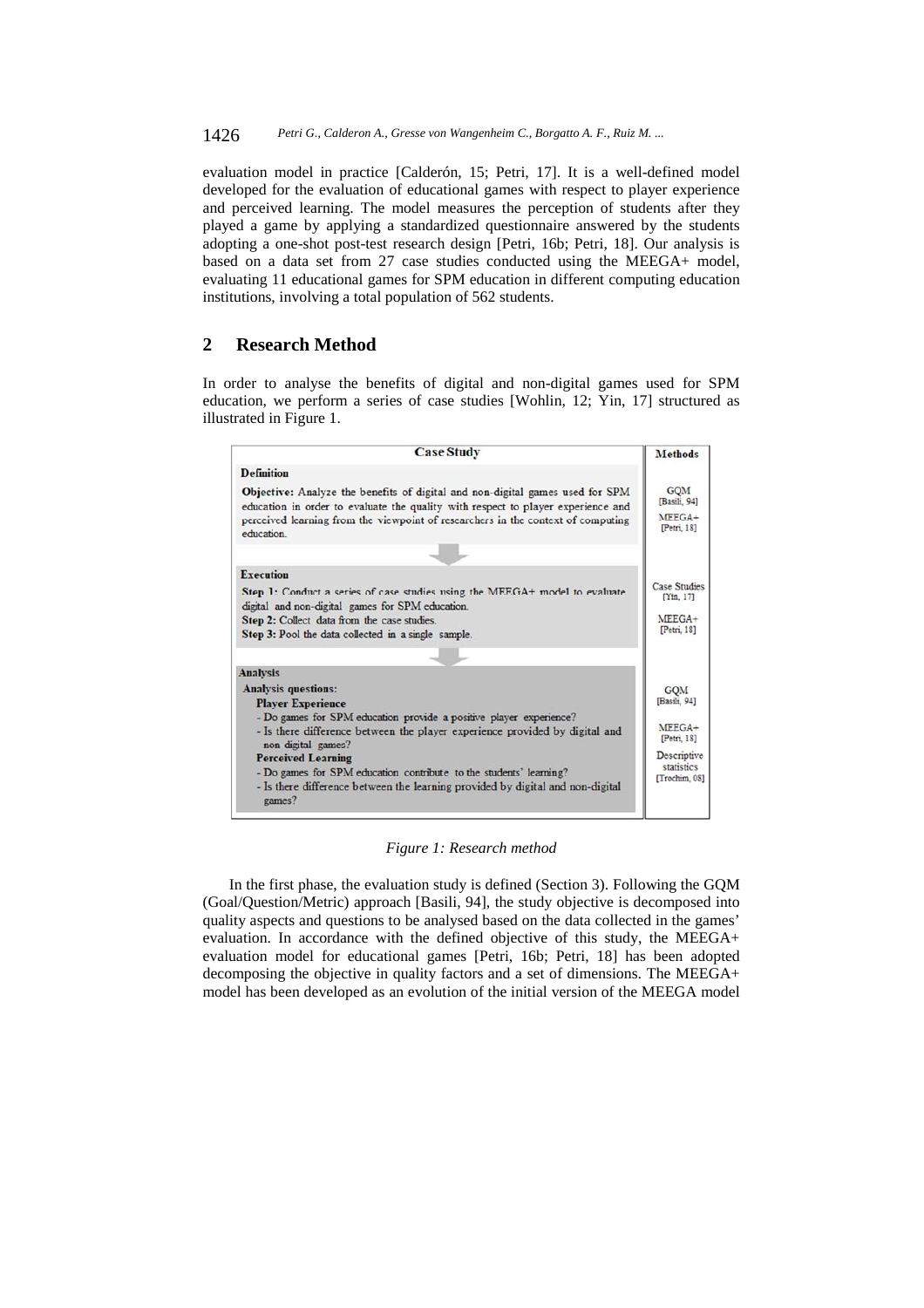evaluation model in practice [Calderón, 15; Petri, 17]. It is a well-defined model developed for the evaluation of educational games with respect to player experience and perceived learning. The model measures the perception of students after they played a game by applying a standardized questionnaire answered by the students adopting a one-shot post-test research design [Petri, 16b; Petri, 18]. Our analysis is based on a data set from 27 case studies conducted using the MEEGA+ model, evaluating 11 educational games for SPM education in different computing education institutions, involving a total population of 562 students.

# **2 Research Method**

In order to analyse the benefits of digital and non-digital games used for SPM education, we perform a series of case studies [Wohlin, 12; Yin, 17] structured as illustrated in Figure 1.

| <b>Case Study</b>                                                                                                                                                 | <b>Methods</b>                   |  |  |
|-------------------------------------------------------------------------------------------------------------------------------------------------------------------|----------------------------------|--|--|
| <b>Definition</b>                                                                                                                                                 |                                  |  |  |
| Objective: Analyze the benefits of digital and non-digital games used for SPM<br>education in order to evaluate the quality with respect to player experience and | <b>GOM</b><br>[Basili, 94]       |  |  |
| perceived learning from the viewpoint of researchers in the context of computing<br>education.                                                                    |                                  |  |  |
|                                                                                                                                                                   |                                  |  |  |
| <b>Execution</b>                                                                                                                                                  |                                  |  |  |
| Step 1: Conduct a series of case studies using the MEEGA+ model to evaluate<br>digital and non-digital games for SPM education.                                   | <b>Case Studies</b><br>[Yin, 17] |  |  |
| Step 2: Collect data from the case studies.<br>Step 3: Pool the data collected in a single sample.                                                                | $MFEGA+$<br>[Petri, 18]          |  |  |
|                                                                                                                                                                   |                                  |  |  |
| <b>Analysis</b>                                                                                                                                                   |                                  |  |  |
| <b>Analysis questions:</b>                                                                                                                                        | <b>GOM</b>                       |  |  |
| <b>Player Experience</b>                                                                                                                                          | [Basili, 94]                     |  |  |
| - Do games for SPM education provide a positive player experience?                                                                                                |                                  |  |  |
| - Is there difference between the player experience provided by digital and<br>non-digital games?                                                                 | $MFEGA+$<br>[Petri, 18]          |  |  |
| <b>Perceived Learning</b>                                                                                                                                         | Descriptive                      |  |  |
| - Do games for SPM education contribute to the students' learning?                                                                                                | statistics<br>[Trochim, 08]      |  |  |
| - Is there difference between the learning provided by digital and non-digital<br>games?                                                                          |                                  |  |  |

*Figure 1: Research method* 

In the first phase, the evaluation study is defined (Section 3). Following the GQM (Goal/Question/Metric) approach [Basili, 94], the study objective is decomposed into quality aspects and questions to be analysed based on the data collected in the games' evaluation. In accordance with the defined objective of this study, the MEEGA+ evaluation model for educational games [Petri, 16b; Petri, 18] has been adopted decomposing the objective in quality factors and a set of dimensions. The MEEGA+ model has been developed as an evolution of the initial version of the MEEGA model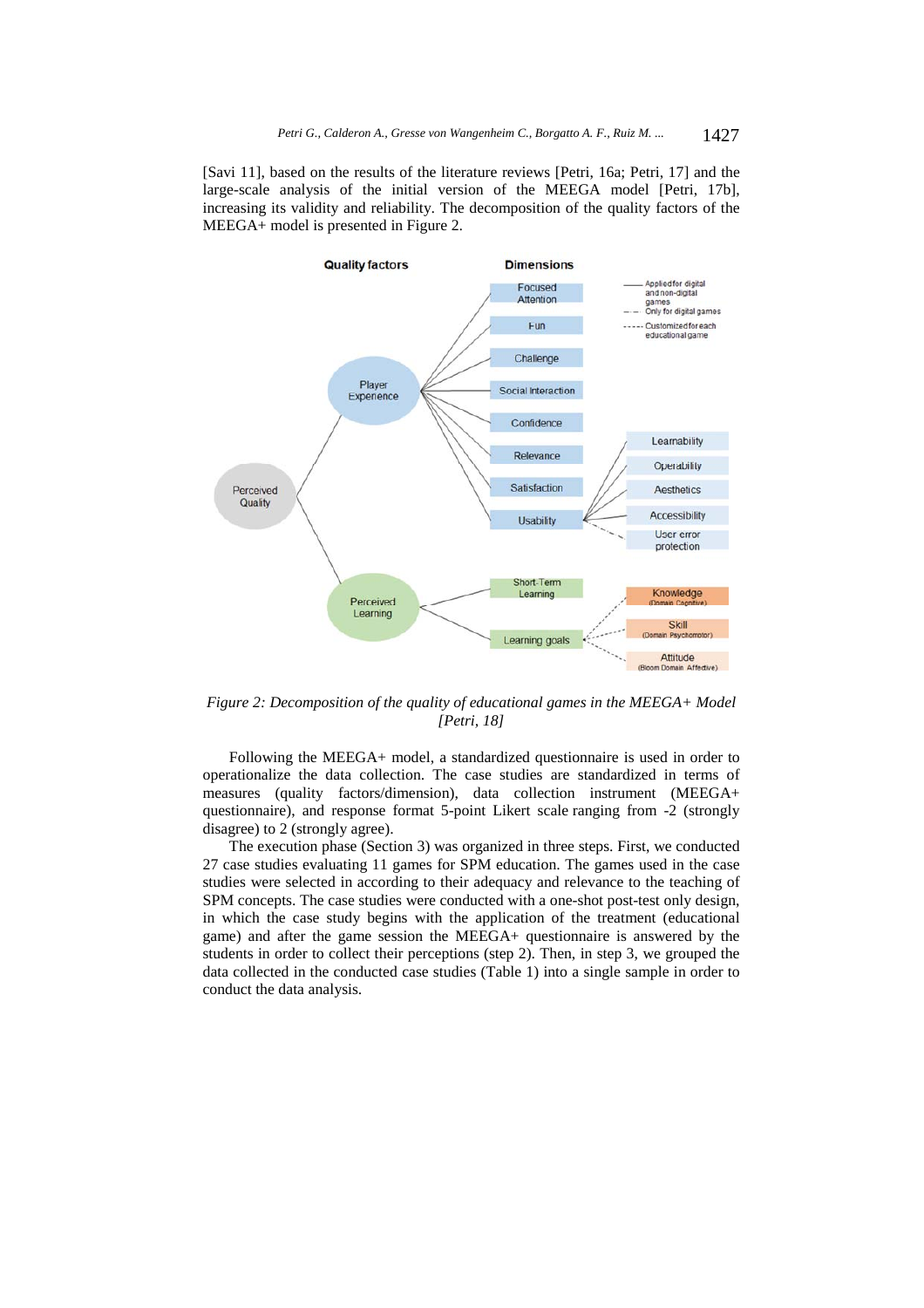[Savi 11], based on the results of the literature reviews [Petri, 16a; Petri, 17] and the large-scale analysis of the initial version of the MEEGA model [Petri, 17b], increasing its validity and reliability. The decomposition of the quality factors of the MEEGA+ model is presented in Figure 2.



*Figure 2: Decomposition of the quality of educational games in the MEEGA+ Model [Petri, 18]* 

Following the MEEGA+ model, a standardized questionnaire is used in order to operationalize the data collection. The case studies are standardized in terms of measures (quality factors/dimension), data collection instrument (MEEGA+ questionnaire), and response format 5-point Likert scale ranging from -2 (strongly disagree) to 2 (strongly agree).

The execution phase (Section 3) was organized in three steps. First, we conducted 27 case studies evaluating 11 games for SPM education. The games used in the case studies were selected in according to their adequacy and relevance to the teaching of SPM concepts. The case studies were conducted with a one-shot post-test only design, in which the case study begins with the application of the treatment (educational game) and after the game session the MEEGA+ questionnaire is answered by the students in order to collect their perceptions (step 2). Then, in step 3, we grouped the data collected in the conducted case studies (Table 1) into a single sample in order to conduct the data analysis.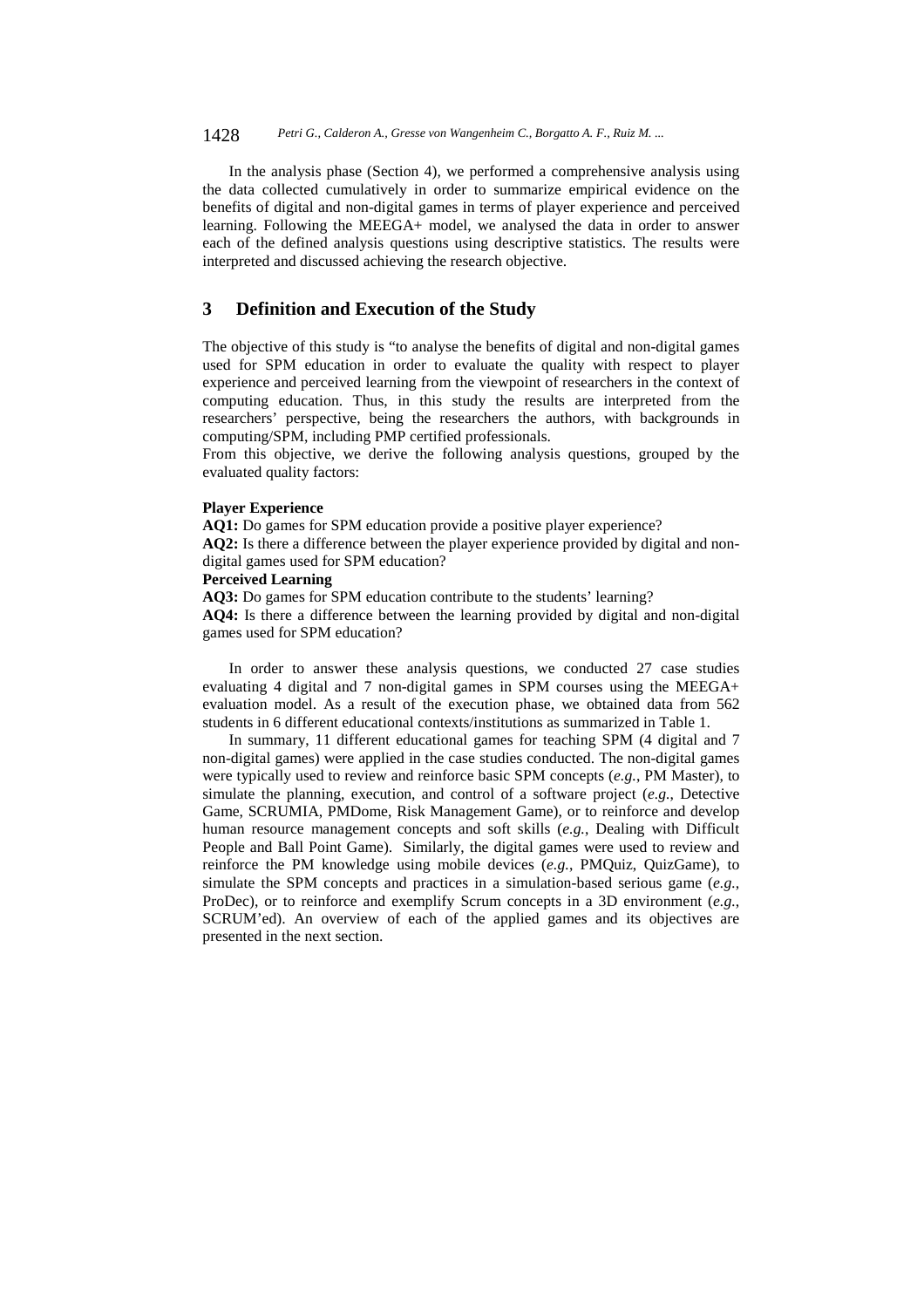1428 *Petri G., Calderon A., Gresse von Wangenheim C., Borgatto A. F., Ruiz M. ...*

In the analysis phase (Section 4), we performed a comprehensive analysis using the data collected cumulatively in order to summarize empirical evidence on the benefits of digital and non-digital games in terms of player experience and perceived learning. Following the MEEGA+ model, we analysed the data in order to answer each of the defined analysis questions using descriptive statistics. The results were interpreted and discussed achieving the research objective.

# **3 Definition and Execution of the Study**

The objective of this study is "to analyse the benefits of digital and non-digital games used for SPM education in order to evaluate the quality with respect to player experience and perceived learning from the viewpoint of researchers in the context of computing education. Thus, in this study the results are interpreted from the researchers' perspective, being the researchers the authors, with backgrounds in computing/SPM, including PMP certified professionals.

From this objective, we derive the following analysis questions, grouped by the evaluated quality factors:

#### **Player Experience**

**AQ1:** Do games for SPM education provide a positive player experience?

**AQ2:** Is there a difference between the player experience provided by digital and nondigital games used for SPM education?

#### **Perceived Learning**

**AQ3:** Do games for SPM education contribute to the students' learning?

**AQ4:** Is there a difference between the learning provided by digital and non-digital games used for SPM education?

In order to answer these analysis questions, we conducted 27 case studies evaluating 4 digital and 7 non-digital games in SPM courses using the MEEGA+ evaluation model. As a result of the execution phase, we obtained data from 562 students in 6 different educational contexts/institutions as summarized in Table 1.

In summary, 11 different educational games for teaching SPM (4 digital and 7 non-digital games) were applied in the case studies conducted. The non-digital games were typically used to review and reinforce basic SPM concepts (*e.g.*, PM Master), to simulate the planning, execution, and control of a software project (*e.g.*, Detective Game, SCRUMIA, PMDome, Risk Management Game), or to reinforce and develop human resource management concepts and soft skills (*e.g.*, Dealing with Difficult People and Ball Point Game). Similarly, the digital games were used to review and reinforce the PM knowledge using mobile devices (*e.g.*, PMQuiz, QuizGame), to simulate the SPM concepts and practices in a simulation-based serious game (*e.g.*, ProDec), or to reinforce and exemplify Scrum concepts in a 3D environment (*e.g.*, SCRUM'ed). An overview of each of the applied games and its objectives are presented in the next section.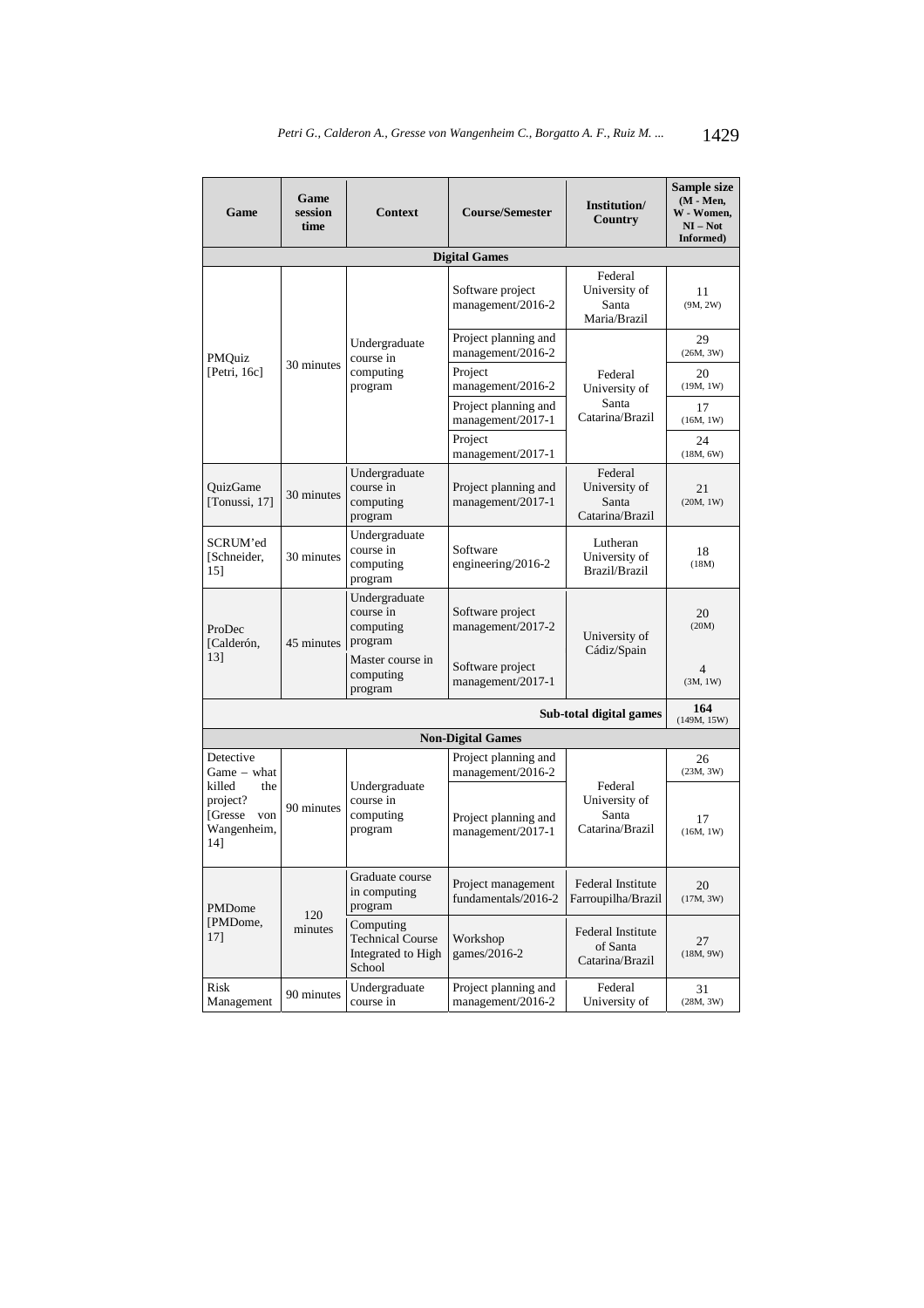| Game<br>session<br>Game<br>time                                   |                      | <b>Context</b>                                                       | <b>Course/Semester</b>                    | Institution/<br>Country                              | Sample size<br>$(M - Men,$<br>W - Women,<br>$NI - Not$<br>Informed) |                 |  |  |  |
|-------------------------------------------------------------------|----------------------|----------------------------------------------------------------------|-------------------------------------------|------------------------------------------------------|---------------------------------------------------------------------|-----------------|--|--|--|
|                                                                   | <b>Digital Games</b> |                                                                      |                                           |                                                      |                                                                     |                 |  |  |  |
|                                                                   |                      | Undergraduate<br>course in<br>computing<br>program                   | Software project<br>management/2016-2     | Federal<br>University of<br>Santa<br>Maria/Brazil    | 11<br>(9M, 2W)                                                      |                 |  |  |  |
| PMQuiz                                                            |                      |                                                                      | Project planning and<br>management/2016-2 |                                                      | 29<br>(26M, 3W)                                                     |                 |  |  |  |
| [Petri, $16c$ ]                                                   | 30 minutes           |                                                                      | Project<br>management/2016-2              | Federal<br>University of                             | 20<br>(19M, 1W)                                                     |                 |  |  |  |
|                                                                   |                      |                                                                      | Project planning and<br>management/2017-1 | Santa<br>Catarina/Brazil                             | 17<br>(16M, 1W)                                                     |                 |  |  |  |
|                                                                   |                      |                                                                      | Project<br>management/2017-1              |                                                      | 24<br>(18M, 6W)                                                     |                 |  |  |  |
| OuizGame<br>[Tonussi, 17]                                         | 30 minutes           | Undergraduate<br>course in<br>computing<br>program                   | Project planning and<br>management/2017-1 | Federal<br>University of<br>Santa<br>Catarina/Brazil | 21<br>(20M, 1W)                                                     |                 |  |  |  |
| SCRUM'ed<br>[Schneider,<br>15]                                    | 30 minutes           | Undergraduate<br>course in<br>computing<br>program                   | Software<br>engineering/2016-2            | Lutheran<br>University of<br>Brazil/Brazil           | 18<br>(18M)                                                         |                 |  |  |  |
| ProDec<br>[Calderón,                                              | 45 minutes           | Undergraduate<br>course in<br>computing<br>program                   | Software project<br>management/2017-2     | University of<br>Cádiz/Spain                         | 20<br>(20M)                                                         |                 |  |  |  |
| 13]                                                               |                      | Master course in<br>computing<br>program                             | Software project<br>management/2017-1     |                                                      | 4<br>(3M, 1W)                                                       |                 |  |  |  |
| Sub-total digital games<br>(149M, 15W)                            |                      |                                                                      |                                           |                                                      |                                                                     |                 |  |  |  |
|                                                                   |                      |                                                                      | <b>Non-Digital Games</b>                  |                                                      |                                                                     |                 |  |  |  |
| Detective<br>Game – what                                          |                      |                                                                      | Project planning and<br>management/2016-2 |                                                      | 26<br>(23M, 3W)                                                     |                 |  |  |  |
| killed<br>the<br>project?<br>[Gresse<br>von<br>Wangenheim,<br>14] | 90 minutes           | course in<br>computing<br>program                                    | Undergraduate                             | Project planning and<br>management/2017-1            | Federal<br>University of<br>Santa<br>Catarina/Brazil                | 17<br>(16M, 1W) |  |  |  |
| PMDome                                                            | 120<br>minutes       | Graduate course<br>in computing<br>program                           | Project management<br>fundamentals/2016-2 | Federal Institute<br>Farroupilha/Brazil              | 20<br>(17M, 3W)                                                     |                 |  |  |  |
| [PMDome,<br>17]                                                   |                      | Computing<br><b>Technical Course</b><br>Integrated to High<br>School |                                           | Workshop<br>games/2016-2                             | Federal Institute<br>of Santa<br>Catarina/Brazil                    | 27<br>(18M, 9W) |  |  |  |
| Risk<br>Management                                                | 90 minutes           | Undergraduate<br>course in                                           | Project planning and<br>management/2016-2 | Federal<br>University of                             | 31<br>(28M, 3W)                                                     |                 |  |  |  |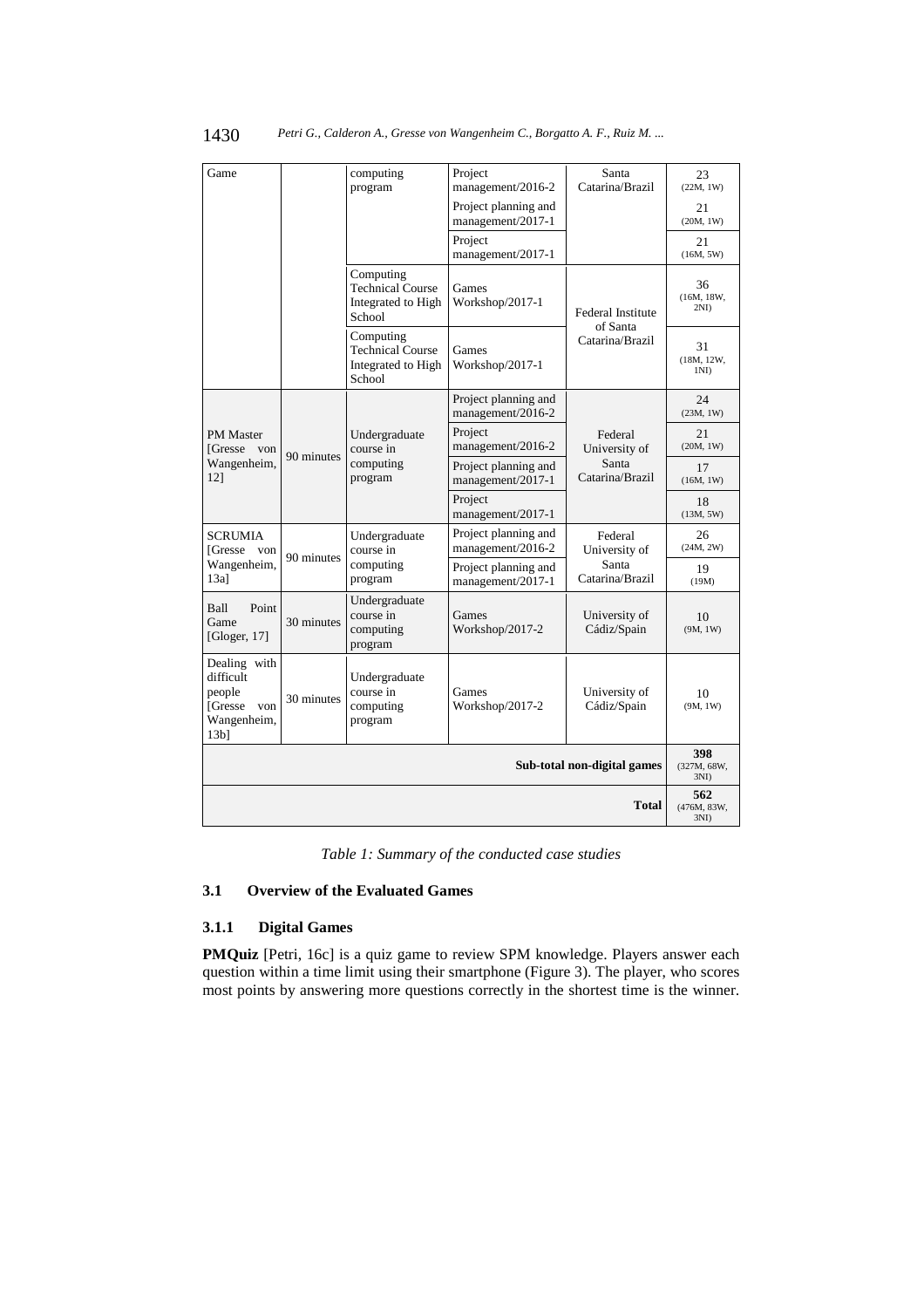| Game                                                                                 |            | computing<br>program                                                 | Project<br>management/2016-2              | Santa<br>Catarina/Brazil                             | 23<br>(22M, 1W)                      |
|--------------------------------------------------------------------------------------|------------|----------------------------------------------------------------------|-------------------------------------------|------------------------------------------------------|--------------------------------------|
|                                                                                      |            |                                                                      | Project planning and<br>management/2017-1 |                                                      | 21<br>(20M, 1W)                      |
|                                                                                      |            |                                                                      | Project<br>management/2017-1              |                                                      | 21<br>(16M, 5W)                      |
|                                                                                      |            | Computing<br><b>Technical Course</b><br>Integrated to High<br>School | Games<br>Workshop/2017-1                  | Federal Institute<br>of Santa                        | 36<br>(16M, 18W,<br>2ND              |
|                                                                                      |            | Computing<br><b>Technical Course</b><br>Integrated to High<br>School | Games<br>Workshop/2017-1                  | Catarina/Brazil                                      | 31<br>(18M, 12W,<br>1 <sub>N</sub> I |
|                                                                                      |            |                                                                      | Project planning and<br>management/2016-2 |                                                      | 24<br>(23M, 1W)                      |
| <b>PM</b> Master<br>[Gresse von                                                      | 90 minutes | Undergraduate<br>course in<br>computing<br>program                   | Project<br>management/2016-2              | Federal<br>University of<br>Santa<br>Catarina/Brazil | 21<br>(20M, 1W)                      |
| Wangenheim,<br>$12$ ]                                                                |            |                                                                      | Project planning and<br>management/2017-1 |                                                      | 17<br>(16M, 1W)                      |
|                                                                                      |            |                                                                      | Project<br>management/2017-1              |                                                      | 18<br>(13M, 5W)                      |
| <b>SCRUMIA</b><br>[Gresse von                                                        | 90 minutes | Undergraduate<br>course in                                           | Project planning and<br>management/2016-2 | Federal<br>University of                             | 26<br>(24M, 2W)                      |
| Wangenheim,<br>$13a$ ]                                                               |            | computing<br>program                                                 | Project planning and<br>management/2017-1 | Santa<br>Catarina/Brazil                             | 19<br>(19M)                          |
| Point<br>Ball<br>Game<br>[Gloger, $17$ ]                                             | 30 minutes | Undergraduate<br>course in<br>computing<br>program                   | Games<br>Workshop/2017-2                  | University of<br>Cádiz/Spain                         | 10<br>(9M, 1W)                       |
| Dealing with<br>difficult<br>people<br>[Gresse von<br>Wangenheim,<br>13 <sub>b</sub> | 30 minutes | Undergraduate<br>course in<br>computing<br>program                   | Games<br>Workshop/2017-2                  | University of<br>Cádiz/Spain                         | 10<br>(9M, 1W)                       |
| Sub-total non-digital games                                                          |            |                                                                      |                                           |                                                      | 398<br>(327M, 68W,<br>3ND            |
| <b>Total</b>                                                                         |            |                                                                      |                                           |                                                      |                                      |

# 1430 *Petri G., Calderon A., Gresse von Wangenheim C., Borgatto A. F., Ruiz M. ...*

*Table 1: Summary of the conducted case studies* 

# **3.1 Overview of the Evaluated Games**

# **3.1.1 Digital Games**

**PMQuiz** [Petri, 16c] is a quiz game to review SPM knowledge. Players answer each question within a time limit using their smartphone (Figure 3). The player, who scores most points by answering more questions correctly in the shortest time is the winner.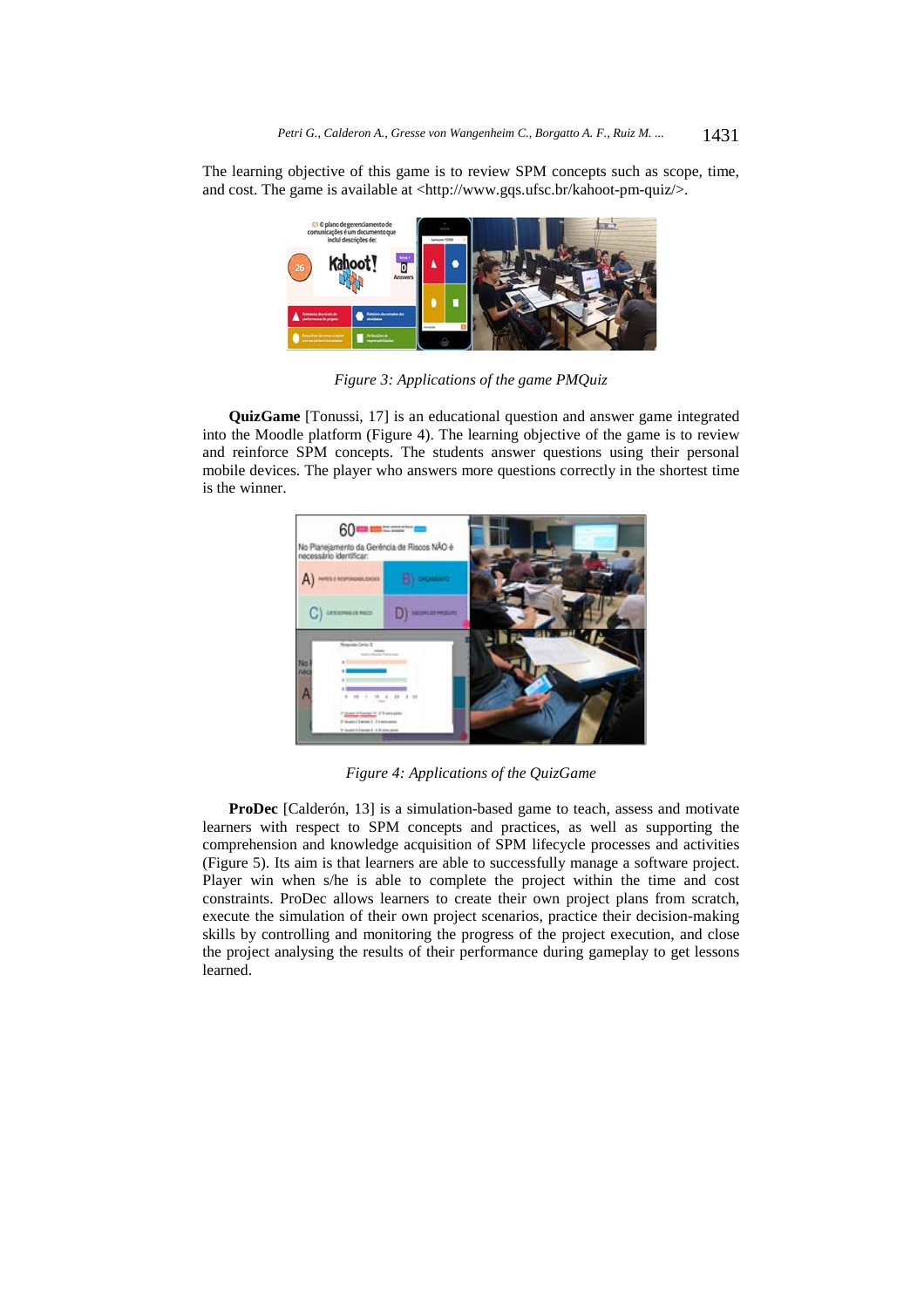The learning objective of this game is to review SPM concepts such as scope, time, and cost. The game is available at <http://www.gqs.ufsc.br/kahoot-pm-quiz/>.



*Figure 3: Applications of the game PMQuiz* 

**QuizGame** [Tonussi, 17] is an educational question and answer game integrated into the Moodle platform (Figure 4). The learning objective of the game is to review and reinforce SPM concepts. The students answer questions using their personal mobile devices. The player who answers more questions correctly in the shortest time is the winner.



*Figure 4: Applications of the QuizGame* 

**ProDec** [Calderón, 13] is a simulation-based game to teach, assess and motivate learners with respect to SPM concepts and practices, as well as supporting the comprehension and knowledge acquisition of SPM lifecycle processes and activities (Figure 5). Its aim is that learners are able to successfully manage a software project. Player win when s/he is able to complete the project within the time and cost constraints. ProDec allows learners to create their own project plans from scratch, execute the simulation of their own project scenarios, practice their decision-making skills by controlling and monitoring the progress of the project execution, and close the project analysing the results of their performance during gameplay to get lessons learned.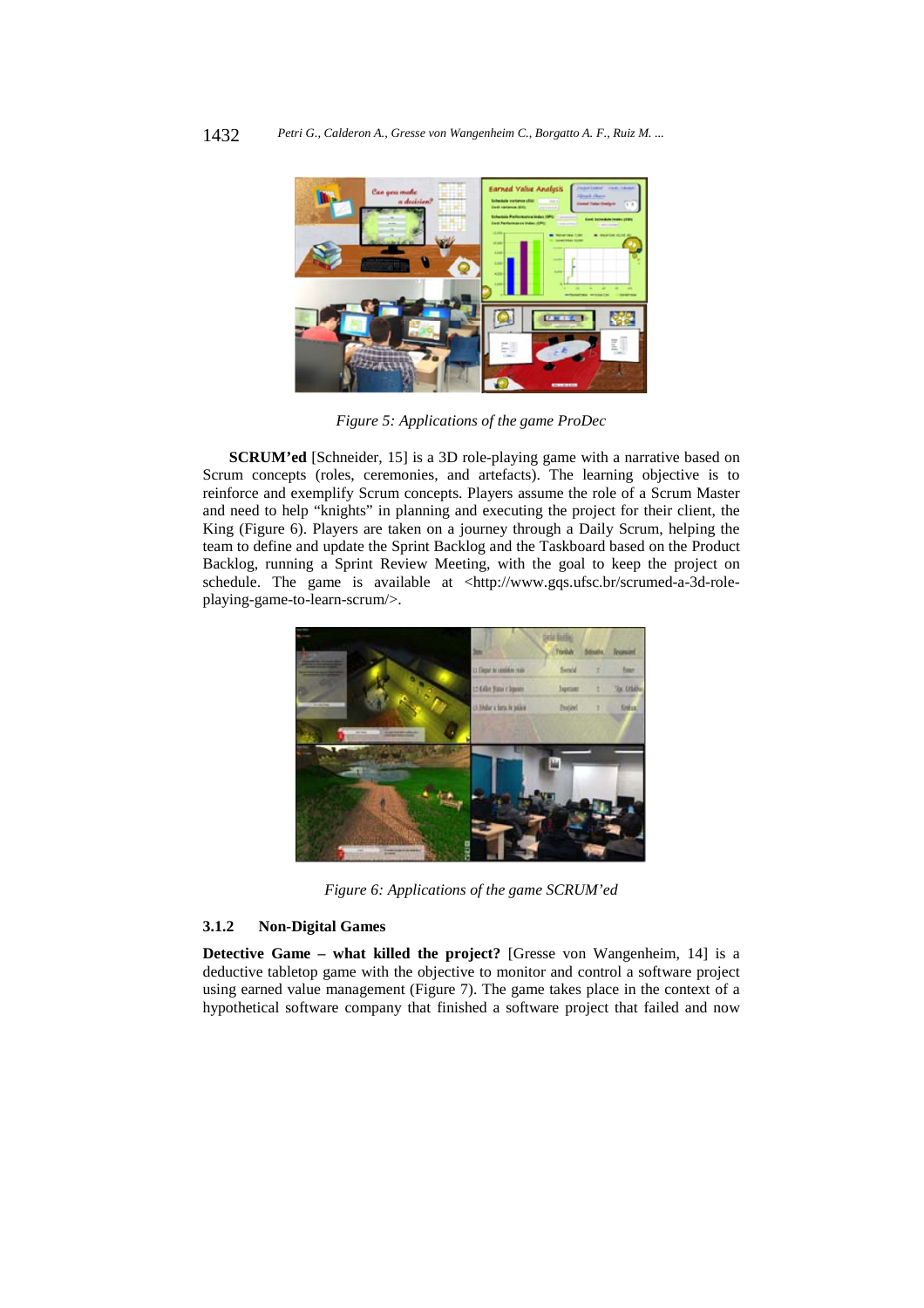

*Figure 5: Applications of the game ProDec* 

**SCRUM'ed** [Schneider, 15] is a 3D role-playing game with a narrative based on Scrum concepts (roles, ceremonies, and artefacts). The learning objective is to reinforce and exemplify Scrum concepts. Players assume the role of a Scrum Master and need to help "knights" in planning and executing the project for their client, the King (Figure 6). Players are taken on a journey through a Daily Scrum, helping the team to define and update the Sprint Backlog and the Taskboard based on the Product Backlog, running a Sprint Review Meeting, with the goal to keep the project on schedule. The game is available at <http://www.gqs.ufsc.br/scrumed-a-3d-roleplaying-game-to-learn-scrum/>.



*Figure 6: Applications of the game SCRUM'ed* 

# **3.1.2 Non-Digital Games**

**Detective Game – what killed the project?** [Gresse von Wangenheim, 14] is a deductive tabletop game with the objective to monitor and control a software project using earned value management (Figure 7). The game takes place in the context of a hypothetical software company that finished a software project that failed and now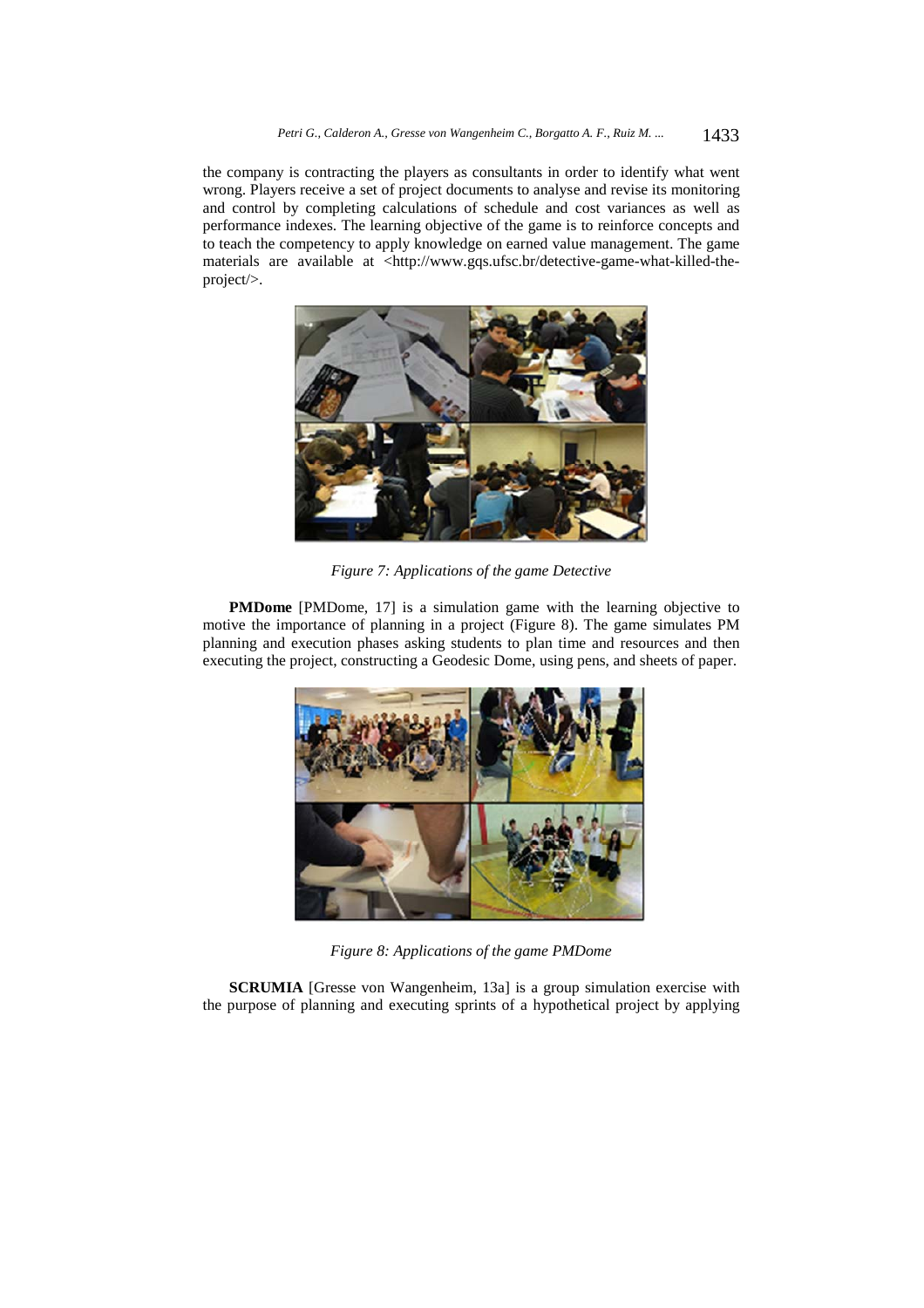the company is contracting the players as consultants in order to identify what went wrong. Players receive a set of project documents to analyse and revise its monitoring and control by completing calculations of schedule and cost variances as well as performance indexes. The learning objective of the game is to reinforce concepts and to teach the competency to apply knowledge on earned value management. The game materials are available at <http://www.gqs.ufsc.br/detective-game-what-killed-theproject/>.



*Figure 7: Applications of the game Detective* 

**PMDome** [PMDome, 17] is a simulation game with the learning objective to motive the importance of planning in a project (Figure 8). The game simulates PM planning and execution phases asking students to plan time and resources and then executing the project, constructing a Geodesic Dome, using pens, and sheets of paper.



*Figure 8: Applications of the game PMDome* 

**SCRUMIA** [Gresse von Wangenheim, 13a] is a group simulation exercise with the purpose of planning and executing sprints of a hypothetical project by applying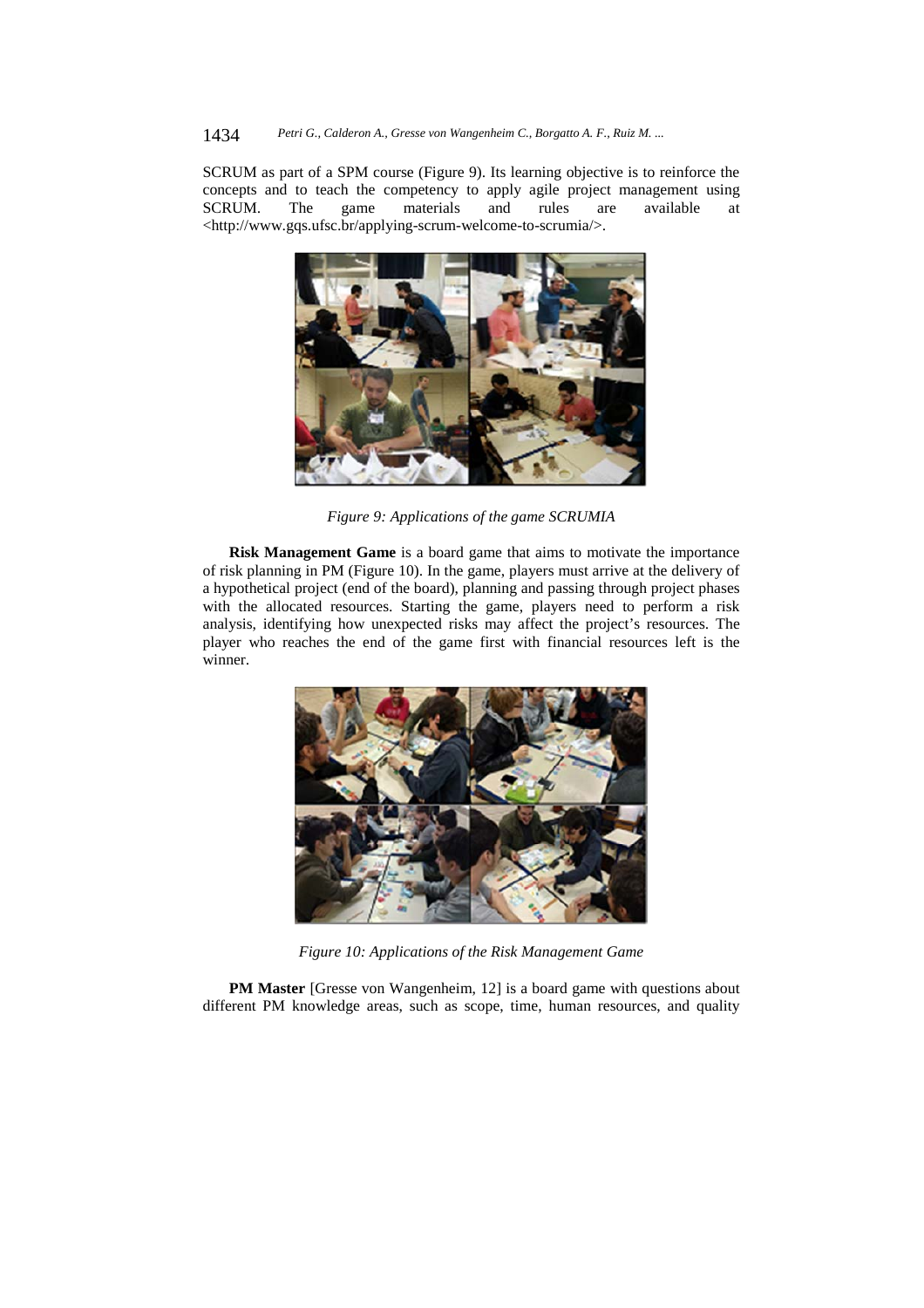### 1434 *Petri G., Calderon A., Gresse von Wangenheim C., Borgatto A. F., Ruiz M. ...*

SCRUM as part of a SPM course (Figure 9). Its learning objective is to reinforce the concepts and to teach the competency to apply agile project management using SCRUM. The game materials and rules are available at <http://www.gqs.ufsc.br/applying-scrum-welcome-to-scrumia/>.



*Figure 9: Applications of the game SCRUMIA* 

**Risk Management Game** is a board game that aims to motivate the importance of risk planning in PM (Figure 10). In the game, players must arrive at the delivery of a hypothetical project (end of the board), planning and passing through project phases with the allocated resources. Starting the game, players need to perform a risk analysis, identifying how unexpected risks may affect the project's resources. The player who reaches the end of the game first with financial resources left is the winner.



*Figure 10: Applications of the Risk Management Game* 

**PM Master** [Gresse von Wangenheim, 12] is a board game with questions about different PM knowledge areas, such as scope, time, human resources, and quality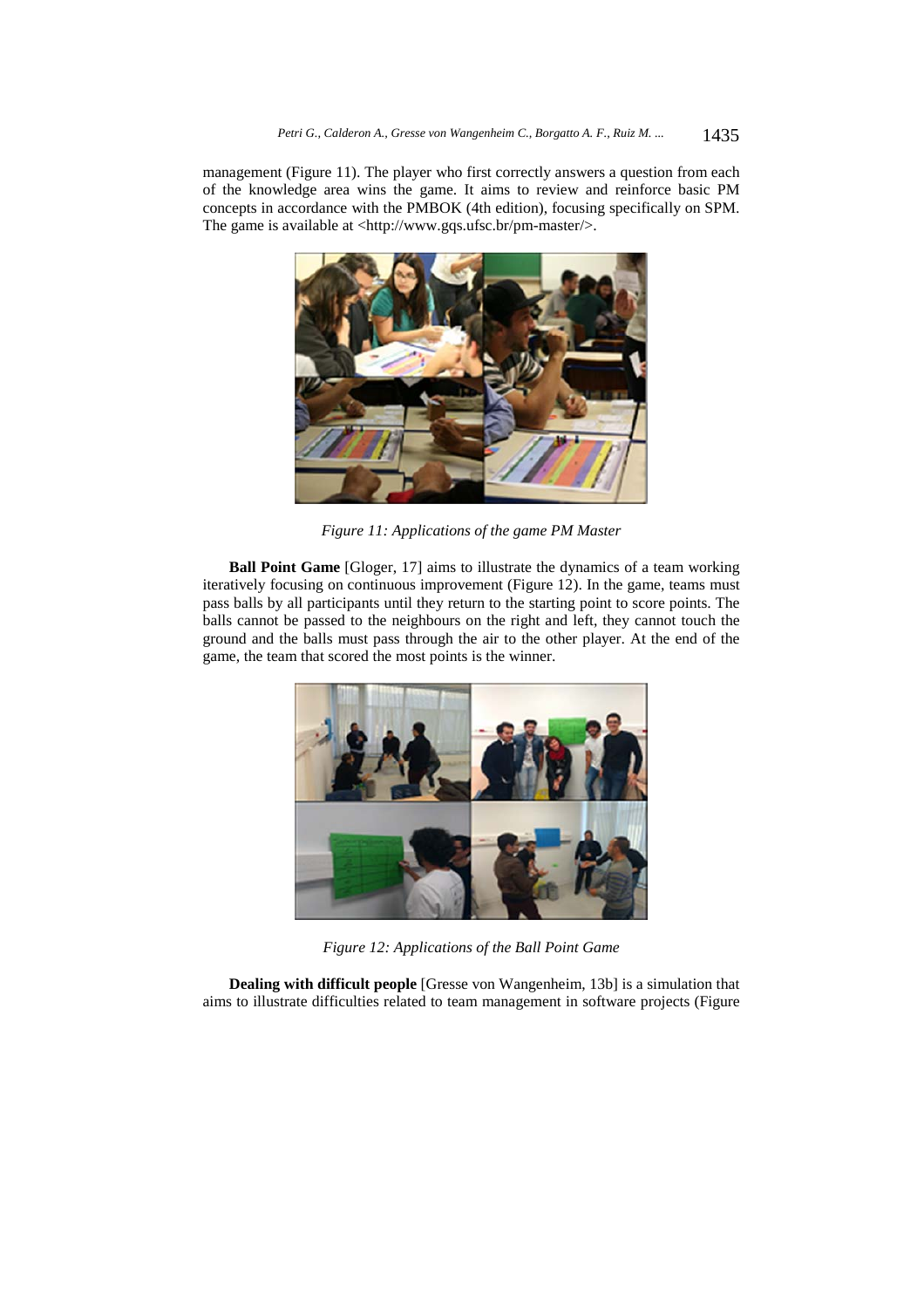management (Figure 11). The player who first correctly answers a question from each of the knowledge area wins the game. It aims to review and reinforce basic PM concepts in accordance with the PMBOK (4th edition), focusing specifically on SPM. The game is available at <http://www.gqs.ufsc.br/pm-master/>.



*Figure 11: Applications of the game PM Master* 

**Ball Point Game** [Gloger, 17] aims to illustrate the dynamics of a team working iteratively focusing on continuous improvement (Figure 12). In the game, teams must pass balls by all participants until they return to the starting point to score points. The balls cannot be passed to the neighbours on the right and left, they cannot touch the ground and the balls must pass through the air to the other player. At the end of the game, the team that scored the most points is the winner.



*Figure 12: Applications of the Ball Point Game* 

**Dealing with difficult people** [Gresse von Wangenheim, 13b] is a simulation that aims to illustrate difficulties related to team management in software projects (Figure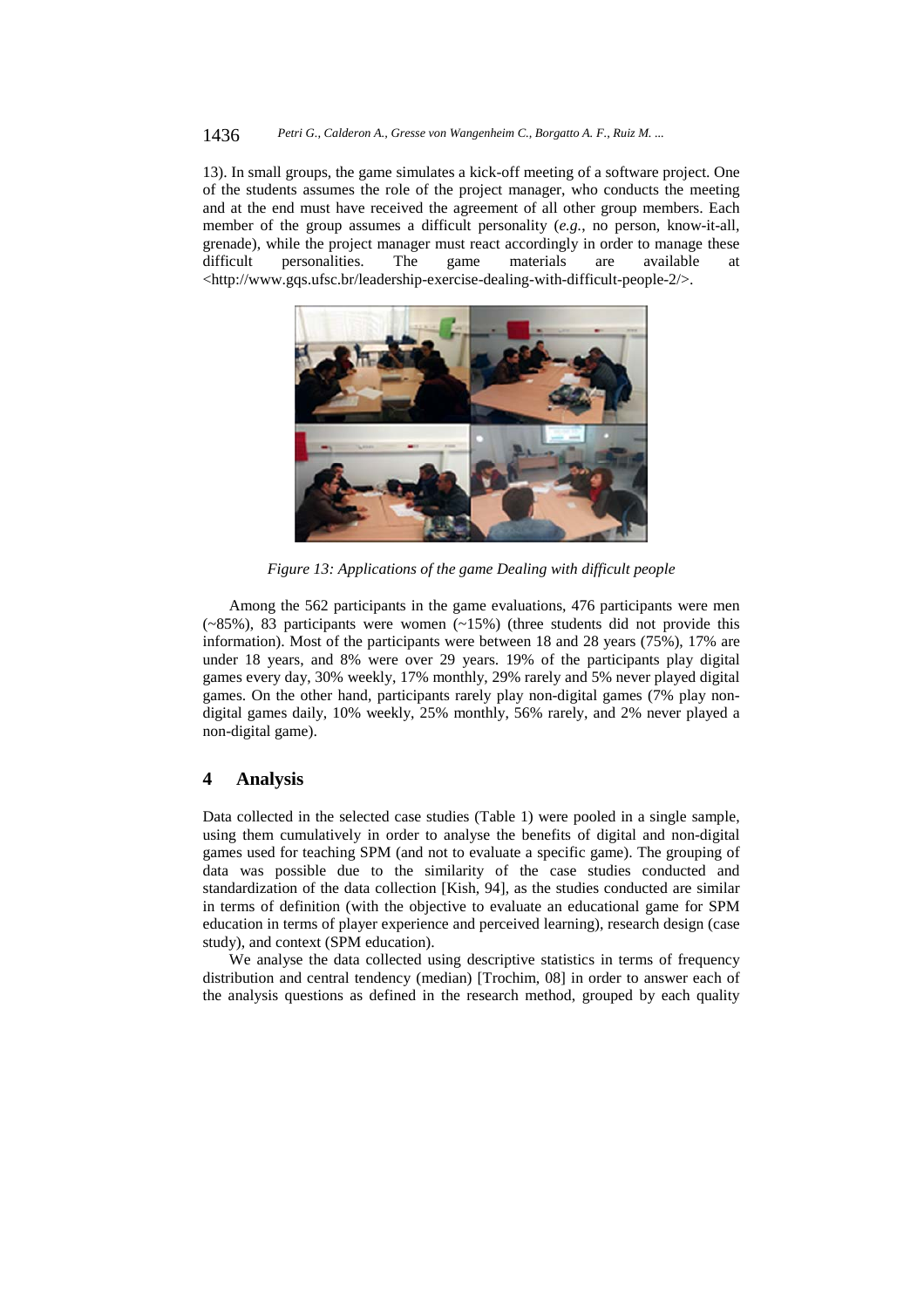#### 1436 *Petri G., Calderon A., Gresse von Wangenheim C., Borgatto A. F., Ruiz M. ...*

13). In small groups, the game simulates a kick-off meeting of a software project. One of the students assumes the role of the project manager, who conducts the meeting and at the end must have received the agreement of all other group members. Each member of the group assumes a difficult personality (*e.g.*, no person, know-it-all, grenade), while the project manager must react accordingly in order to manage these difficult personalities. The game materials are available <http://www.gqs.ufsc.br/leadership-exercise-dealing-with-difficult-people-2/>.



*Figure 13: Applications of the game Dealing with difficult people* 

Among the 562 participants in the game evaluations, 476 participants were men  $(-85\%)$ , 83 participants were women  $(-15\%)$  (three students did not provide this information). Most of the participants were between 18 and 28 years (75%), 17% are under 18 years, and 8% were over 29 years. 19% of the participants play digital games every day, 30% weekly, 17% monthly, 29% rarely and 5% never played digital games. On the other hand, participants rarely play non-digital games (7% play nondigital games daily, 10% weekly, 25% monthly, 56% rarely, and 2% never played a non-digital game).

# **4 Analysis**

Data collected in the selected case studies (Table 1) were pooled in a single sample, using them cumulatively in order to analyse the benefits of digital and non-digital games used for teaching SPM (and not to evaluate a specific game). The grouping of data was possible due to the similarity of the case studies conducted and standardization of the data collection [Kish, 94], as the studies conducted are similar in terms of definition (with the objective to evaluate an educational game for SPM education in terms of player experience and perceived learning), research design (case study), and context (SPM education).

We analyse the data collected using descriptive statistics in terms of frequency distribution and central tendency (median) [Trochim, 08] in order to answer each of the analysis questions as defined in the research method, grouped by each quality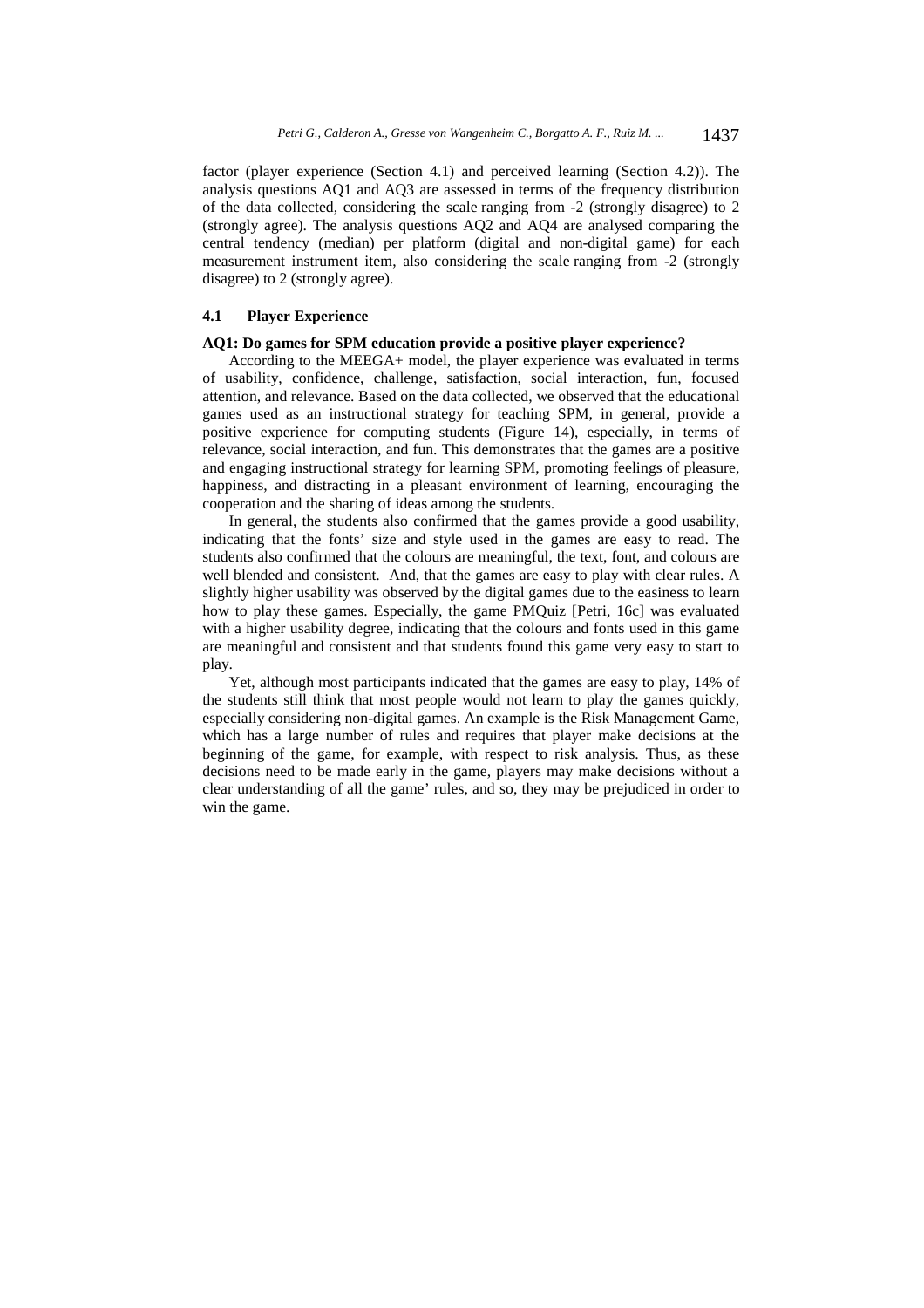factor (player experience (Section 4.1) and perceived learning (Section 4.2)). The analysis questions AQ1 and AQ3 are assessed in terms of the frequency distribution of the data collected, considering the scale ranging from -2 (strongly disagree) to 2 (strongly agree). The analysis questions AQ2 and AQ4 are analysed comparing the central tendency (median) per platform (digital and non-digital game) for each measurement instrument item, also considering the scale ranging from -2 (strongly disagree) to 2 (strongly agree).

### **4.1 Player Experience**

#### **AQ1: Do games for SPM education provide a positive player experience?**

According to the MEEGA+ model, the player experience was evaluated in terms of usability, confidence, challenge, satisfaction, social interaction, fun, focused attention, and relevance. Based on the data collected, we observed that the educational games used as an instructional strategy for teaching SPM, in general, provide a positive experience for computing students (Figure 14), especially, in terms of relevance, social interaction, and fun. This demonstrates that the games are a positive and engaging instructional strategy for learning SPM, promoting feelings of pleasure, happiness, and distracting in a pleasant environment of learning, encouraging the cooperation and the sharing of ideas among the students.

In general, the students also confirmed that the games provide a good usability, indicating that the fonts' size and style used in the games are easy to read. The students also confirmed that the colours are meaningful, the text, font, and colours are well blended and consistent. And, that the games are easy to play with clear rules. A slightly higher usability was observed by the digital games due to the easiness to learn how to play these games. Especially, the game PMQuiz [Petri, 16c] was evaluated with a higher usability degree, indicating that the colours and fonts used in this game are meaningful and consistent and that students found this game very easy to start to play.

Yet, although most participants indicated that the games are easy to play, 14% of the students still think that most people would not learn to play the games quickly, especially considering non-digital games. An example is the Risk Management Game, which has a large number of rules and requires that player make decisions at the beginning of the game, for example, with respect to risk analysis. Thus, as these decisions need to be made early in the game, players may make decisions without a clear understanding of all the game' rules, and so, they may be prejudiced in order to win the game.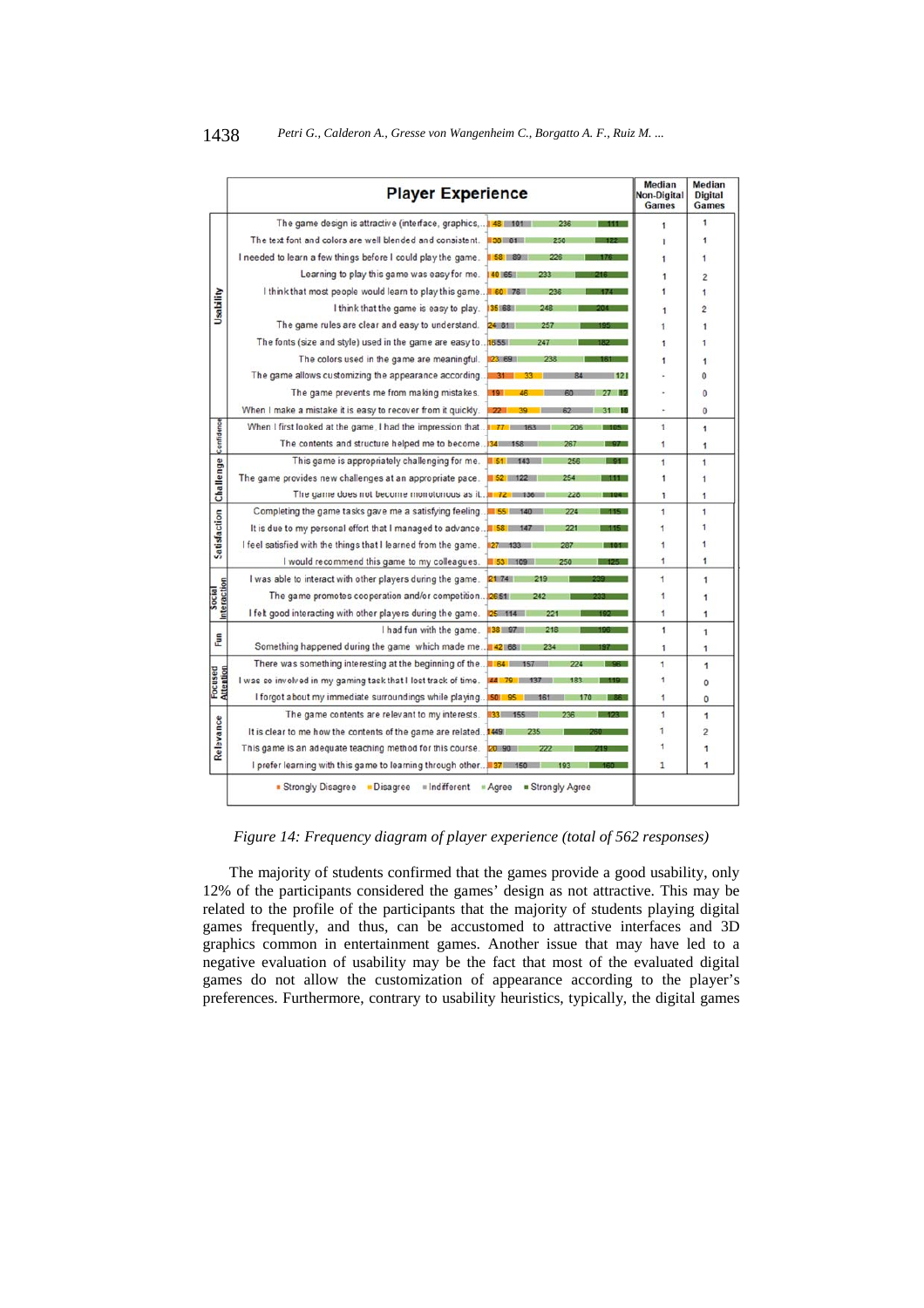|                       | <b>Player Experience</b>                                       |                                                               | Median<br><b>Non-Digital</b><br><b>Games</b> | Median<br><b>Digital</b><br><b>Games</b> |
|-----------------------|----------------------------------------------------------------|---------------------------------------------------------------|----------------------------------------------|------------------------------------------|
|                       | The game design is attractive (interface, graphics,            | 48<br>236                                                     | 1                                            | 1                                        |
|                       | The text font and colors are well blended and consistent.      | 250                                                           | $\overline{1}$                               | 1                                        |
|                       | I needed to learn a few things before I could play the game.   | 226<br>$58 - 89$                                              | 1                                            | 1                                        |
|                       | Learning to play this game was easy for me.                    | 40 165 11<br>233                                              | 1                                            | 2                                        |
| Usability             | I think that most people would learn to play this game.        | 60 76<br>23 F                                                 | 1                                            | 1                                        |
|                       | I think that the game is easy to play.                         | 35 68<br>248                                                  | 1                                            | $\overline{2}$                           |
|                       | The game rules are clear and easy to understand.               | 24 81<br>257                                                  | 1                                            |                                          |
|                       | The fonts (size and style) used in the game are easy to        | 1655<br>247                                                   | 1                                            |                                          |
|                       | The colors used in the game are meaningful.                    | 23 69<br>238                                                  | 1                                            | 1                                        |
|                       | The game allows customizing the appearance according           | 31<br>621                                                     |                                              | 0                                        |
|                       | The game prevents me from making mistakes.                     | $19-1$                                                        |                                              | 0                                        |
|                       | When I make a mistake it is easy to recover from it quickly.   | 22 <sub>1</sub><br>R <sub>2</sub><br>$\overline{\phantom{a}}$ |                                              | $\mathbf 0$                              |
|                       | When I first looked at the game, I had the impression that.    | $77 -$<br>206                                                 | 1                                            | 1                                        |
|                       | The contents and structure helped me to become                 | 267<br>$34 -$<br>158                                          | 1                                            | 1                                        |
|                       | This game is appropriately challenging for me.                 | 256<br>$51 -$<br>143                                          | 1                                            | 1                                        |
| Challenge Confidence  | The game provides new challenges at an appropriate pace.       | 254<br>$52$ 122<br>$-155$                                     | 1                                            | 1                                        |
|                       | The game does not become monotonous as it.                     | 228<br>1721                                                   | 1                                            | 1                                        |
|                       | Completing the game tasks gave me a satisfying feeling.        | 55 140<br>224<br>$-115 - 1$                                   | 1                                            | 1                                        |
| Satisfaction          | It is due to my personal effort that I managed to advance      | 58 <sub>1</sub><br>221                                        | 1                                            | 1                                        |
|                       | I feel satisfied with the things that I learned from the game. | 287<br>m                                                      | 1                                            | 1                                        |
|                       | I would recommend this game to my colleagues.                  | 53 109<br>250<br>125 -                                        | 1                                            | 1                                        |
|                       | I was able to interact with other players during the game.     | 2174<br>219                                                   | 1                                            | 1                                        |
|                       | The game promotes cooperation and/or competition.              | 26511                                                         | 1                                            | 1                                        |
| Interaction<br>Social | I felt good interacting with other players during the game.    | 221                                                           | 1                                            | 1                                        |
|                       | I had fun with the game.                                       | 38 97<br>218                                                  | 1                                            | 1                                        |
| Eun                   | Something happened during the game which made me               | 42 68<br>234                                                  | 1                                            | $\overline{1}$                           |
|                       | There was something interesting at the beginning of the        | 64.0<br>224                                                   | 1                                            | 1                                        |
| Focused<br>Attention  | I was so involved in my gaming task that I lost track of time. |                                                               | 1                                            | 0                                        |
|                       | I forgot about my immediate surroundings while playing.        | SO I                                                          | 1                                            | 0                                        |
|                       | The game contents are relevant to my interests.                | $33 -$<br>236                                                 | 1                                            | 1                                        |
| Relevance             | It is clear to me how the contents of the game are related.    | 1449                                                          | 1                                            | $\overline{2}$                           |
|                       | This game is an adequate teaching method for this course.      |                                                               | 1                                            | 1                                        |
|                       | I prefer learning with this game to learning through other     |                                                               | $\mathbf{1}$                                 | 1                                        |

*Figure 14: Frequency diagram of player experience (total of 562 responses)* 

The majority of students confirmed that the games provide a good usability, only 12% of the participants considered the games' design as not attractive. This may be related to the profile of the participants that the majority of students playing digital games frequently, and thus, can be accustomed to attractive interfaces and 3D graphics common in entertainment games. Another issue that may have led to a negative evaluation of usability may be the fact that most of the evaluated digital games do not allow the customization of appearance according to the player's preferences. Furthermore, contrary to usability heuristics, typically, the digital games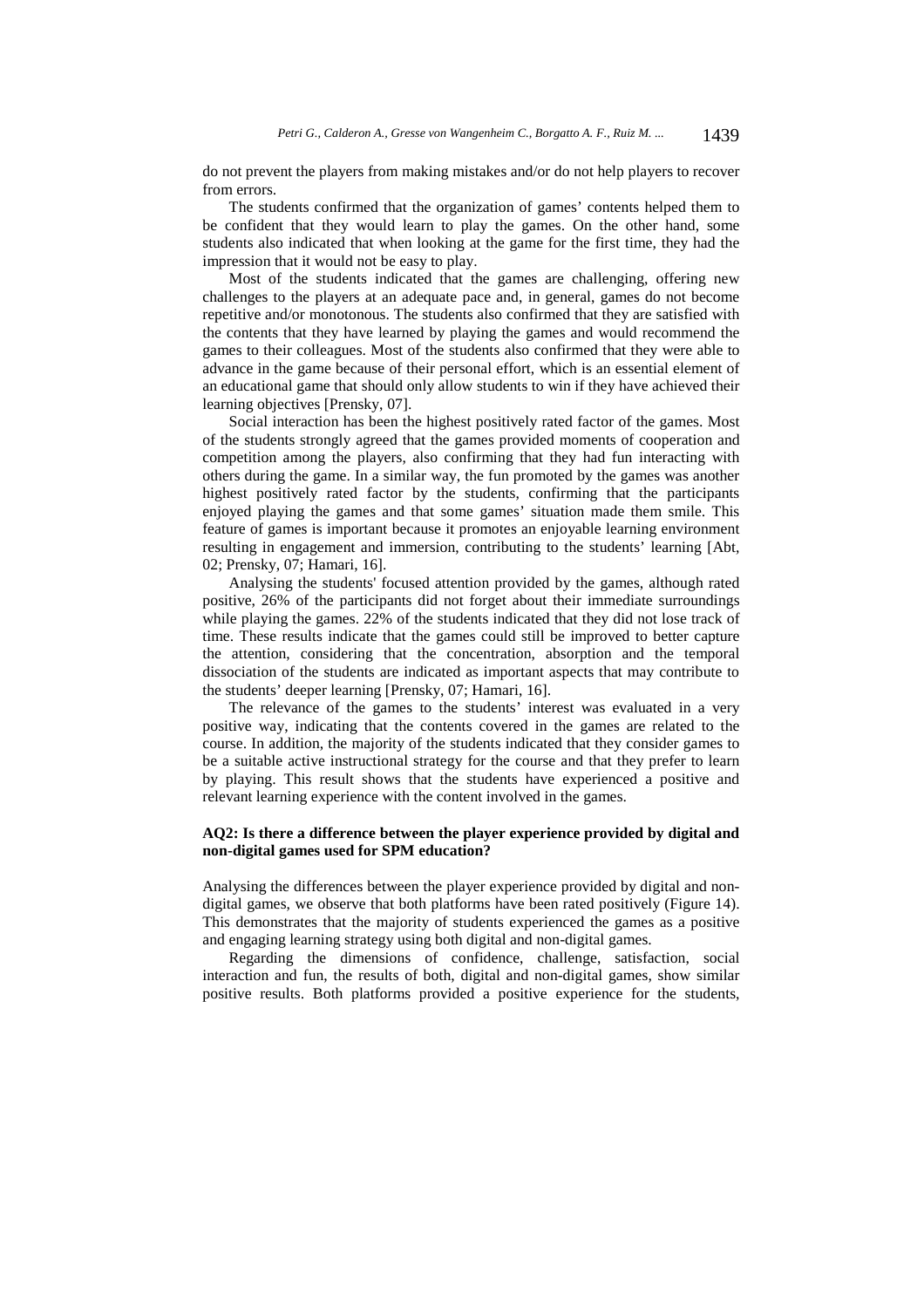do not prevent the players from making mistakes and/or do not help players to recover from errors.

The students confirmed that the organization of games' contents helped them to be confident that they would learn to play the games. On the other hand, some students also indicated that when looking at the game for the first time, they had the impression that it would not be easy to play.

Most of the students indicated that the games are challenging, offering new challenges to the players at an adequate pace and, in general, games do not become repetitive and/or monotonous. The students also confirmed that they are satisfied with the contents that they have learned by playing the games and would recommend the games to their colleagues. Most of the students also confirmed that they were able to advance in the game because of their personal effort, which is an essential element of an educational game that should only allow students to win if they have achieved their learning objectives [Prensky, 07].

Social interaction has been the highest positively rated factor of the games. Most of the students strongly agreed that the games provided moments of cooperation and competition among the players, also confirming that they had fun interacting with others during the game. In a similar way, the fun promoted by the games was another highest positively rated factor by the students, confirming that the participants enjoyed playing the games and that some games' situation made them smile. This feature of games is important because it promotes an enjoyable learning environment resulting in engagement and immersion, contributing to the students' learning [Abt, 02; Prensky, 07; Hamari, 16].

Analysing the students' focused attention provided by the games, although rated positive, 26% of the participants did not forget about their immediate surroundings while playing the games. 22% of the students indicated that they did not lose track of time. These results indicate that the games could still be improved to better capture the attention, considering that the concentration, absorption and the temporal dissociation of the students are indicated as important aspects that may contribute to the students' deeper learning [Prensky, 07; Hamari, 16].

The relevance of the games to the students' interest was evaluated in a very positive way, indicating that the contents covered in the games are related to the course. In addition, the majority of the students indicated that they consider games to be a suitable active instructional strategy for the course and that they prefer to learn by playing. This result shows that the students have experienced a positive and relevant learning experience with the content involved in the games.

# **AQ2: Is there a difference between the player experience provided by digital and non-digital games used for SPM education?**

Analysing the differences between the player experience provided by digital and nondigital games, we observe that both platforms have been rated positively (Figure 14). This demonstrates that the majority of students experienced the games as a positive and engaging learning strategy using both digital and non-digital games.

Regarding the dimensions of confidence, challenge, satisfaction, social interaction and fun, the results of both, digital and non-digital games, show similar positive results. Both platforms provided a positive experience for the students,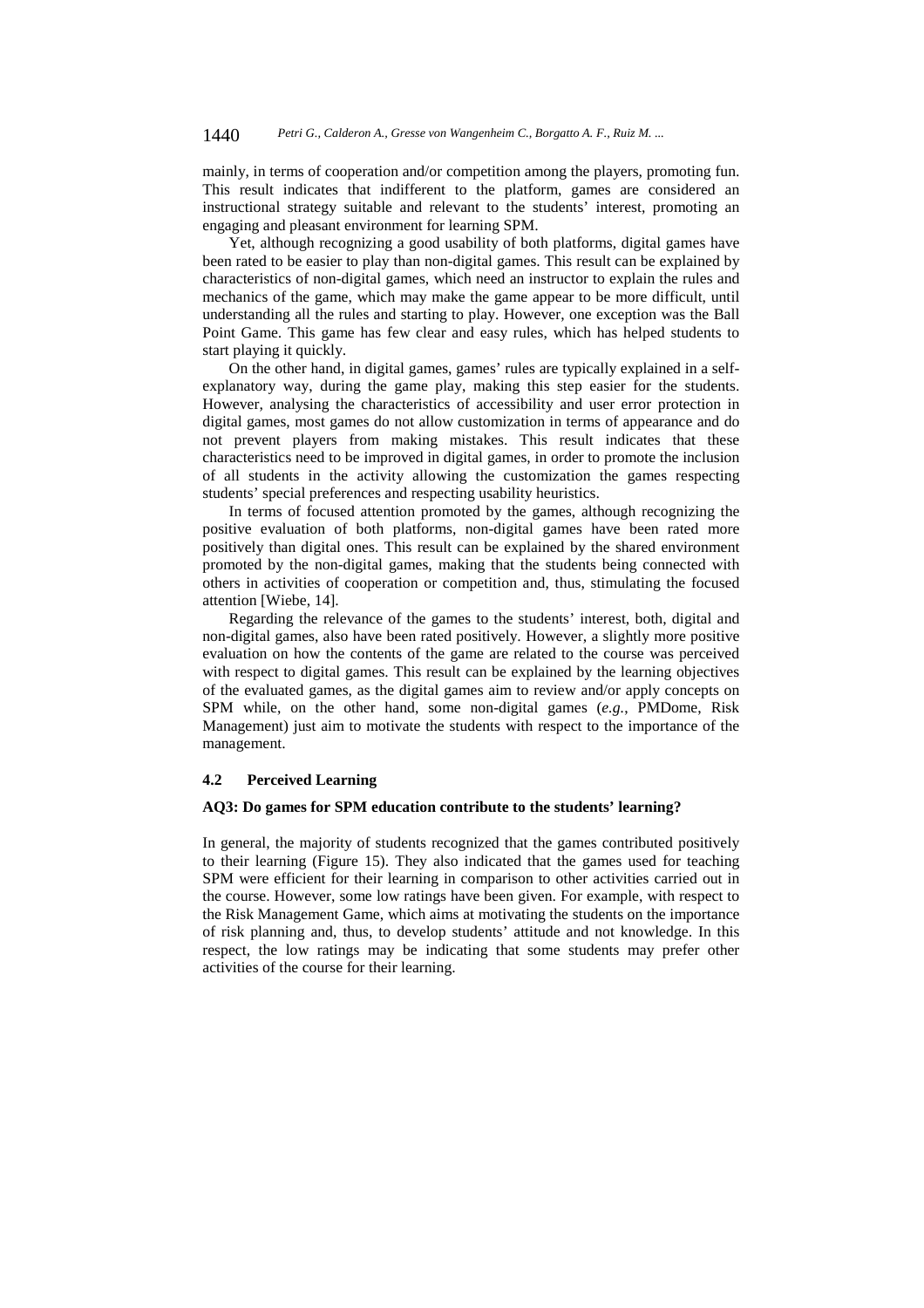mainly, in terms of cooperation and/or competition among the players, promoting fun. This result indicates that indifferent to the platform, games are considered an instructional strategy suitable and relevant to the students' interest, promoting an engaging and pleasant environment for learning SPM.

Yet, although recognizing a good usability of both platforms, digital games have been rated to be easier to play than non-digital games. This result can be explained by characteristics of non-digital games, which need an instructor to explain the rules and mechanics of the game, which may make the game appear to be more difficult, until understanding all the rules and starting to play. However, one exception was the Ball Point Game. This game has few clear and easy rules, which has helped students to start playing it quickly.

On the other hand, in digital games, games' rules are typically explained in a selfexplanatory way, during the game play, making this step easier for the students. However, analysing the characteristics of accessibility and user error protection in digital games, most games do not allow customization in terms of appearance and do not prevent players from making mistakes. This result indicates that these characteristics need to be improved in digital games, in order to promote the inclusion of all students in the activity allowing the customization the games respecting students' special preferences and respecting usability heuristics.

In terms of focused attention promoted by the games, although recognizing the positive evaluation of both platforms, non-digital games have been rated more positively than digital ones. This result can be explained by the shared environment promoted by the non-digital games, making that the students being connected with others in activities of cooperation or competition and, thus, stimulating the focused attention [Wiebe, 14].

Regarding the relevance of the games to the students' interest, both, digital and non-digital games, also have been rated positively. However, a slightly more positive evaluation on how the contents of the game are related to the course was perceived with respect to digital games. This result can be explained by the learning objectives of the evaluated games, as the digital games aim to review and/or apply concepts on SPM while, on the other hand, some non-digital games (*e.g.*, PMDome, Risk Management) just aim to motivate the students with respect to the importance of the management.

### **4.2 Perceived Learning**

# **AQ3: Do games for SPM education contribute to the students' learning?**

In general, the majority of students recognized that the games contributed positively to their learning (Figure 15). They also indicated that the games used for teaching SPM were efficient for their learning in comparison to other activities carried out in the course. However, some low ratings have been given. For example, with respect to the Risk Management Game, which aims at motivating the students on the importance of risk planning and, thus, to develop students' attitude and not knowledge. In this respect, the low ratings may be indicating that some students may prefer other activities of the course for their learning.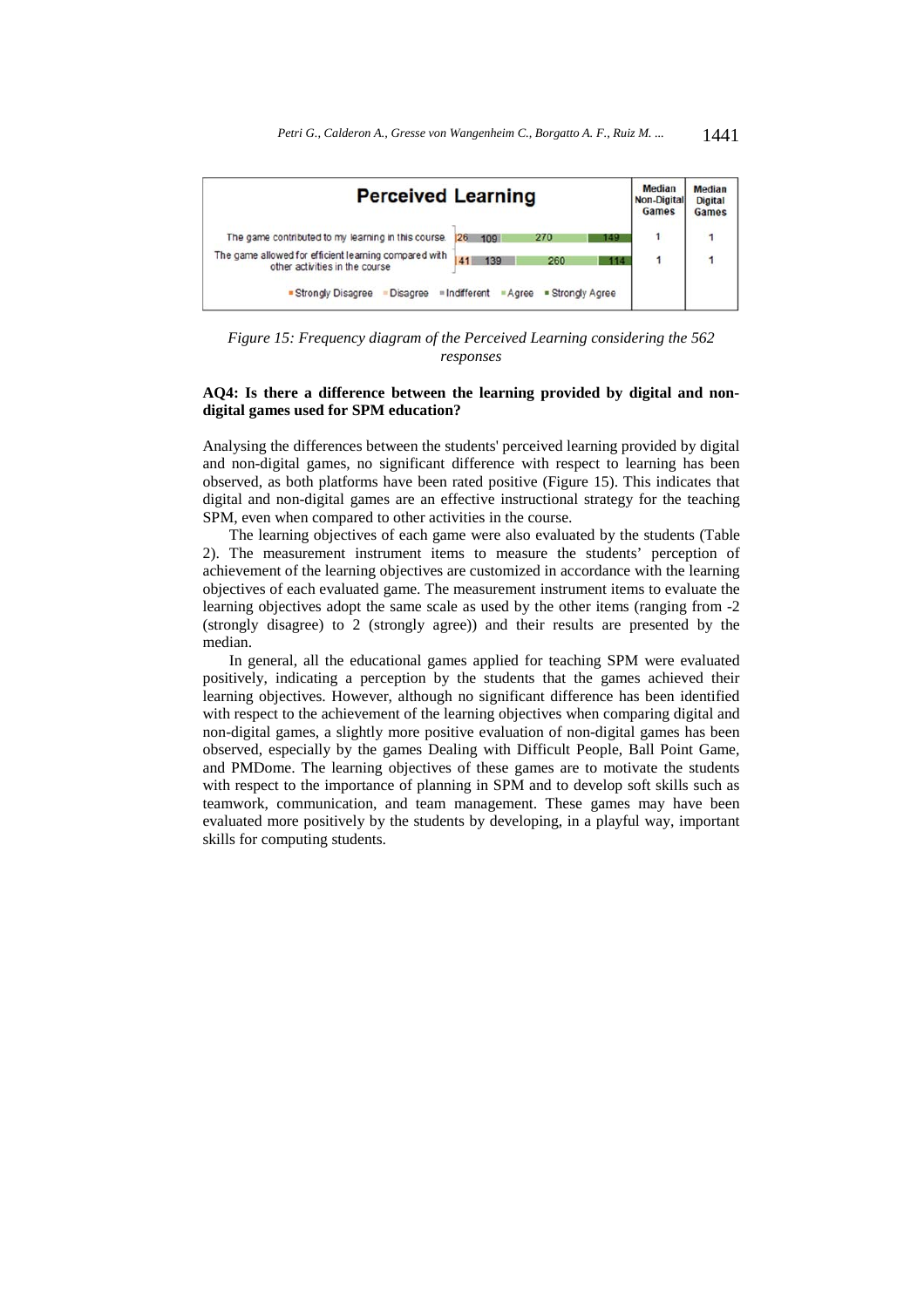

*Figure 15: Frequency diagram of the Perceived Learning considering the 562 responses* 

# **AQ4: Is there a difference between the learning provided by digital and nondigital games used for SPM education?**

Analysing the differences between the students' perceived learning provided by digital and non-digital games, no significant difference with respect to learning has been observed, as both platforms have been rated positive (Figure 15). This indicates that digital and non-digital games are an effective instructional strategy for the teaching SPM, even when compared to other activities in the course.

The learning objectives of each game were also evaluated by the students (Table 2). The measurement instrument items to measure the students' perception of achievement of the learning objectives are customized in accordance with the learning objectives of each evaluated game. The measurement instrument items to evaluate the learning objectives adopt the same scale as used by the other items (ranging from -2 (strongly disagree) to 2 (strongly agree)) and their results are presented by the median.

In general, all the educational games applied for teaching SPM were evaluated positively, indicating a perception by the students that the games achieved their learning objectives. However, although no significant difference has been identified with respect to the achievement of the learning objectives when comparing digital and non-digital games, a slightly more positive evaluation of non-digital games has been observed, especially by the games Dealing with Difficult People, Ball Point Game, and PMDome. The learning objectives of these games are to motivate the students with respect to the importance of planning in SPM and to develop soft skills such as teamwork, communication, and team management. These games may have been evaluated more positively by the students by developing, in a playful way, important skills for computing students.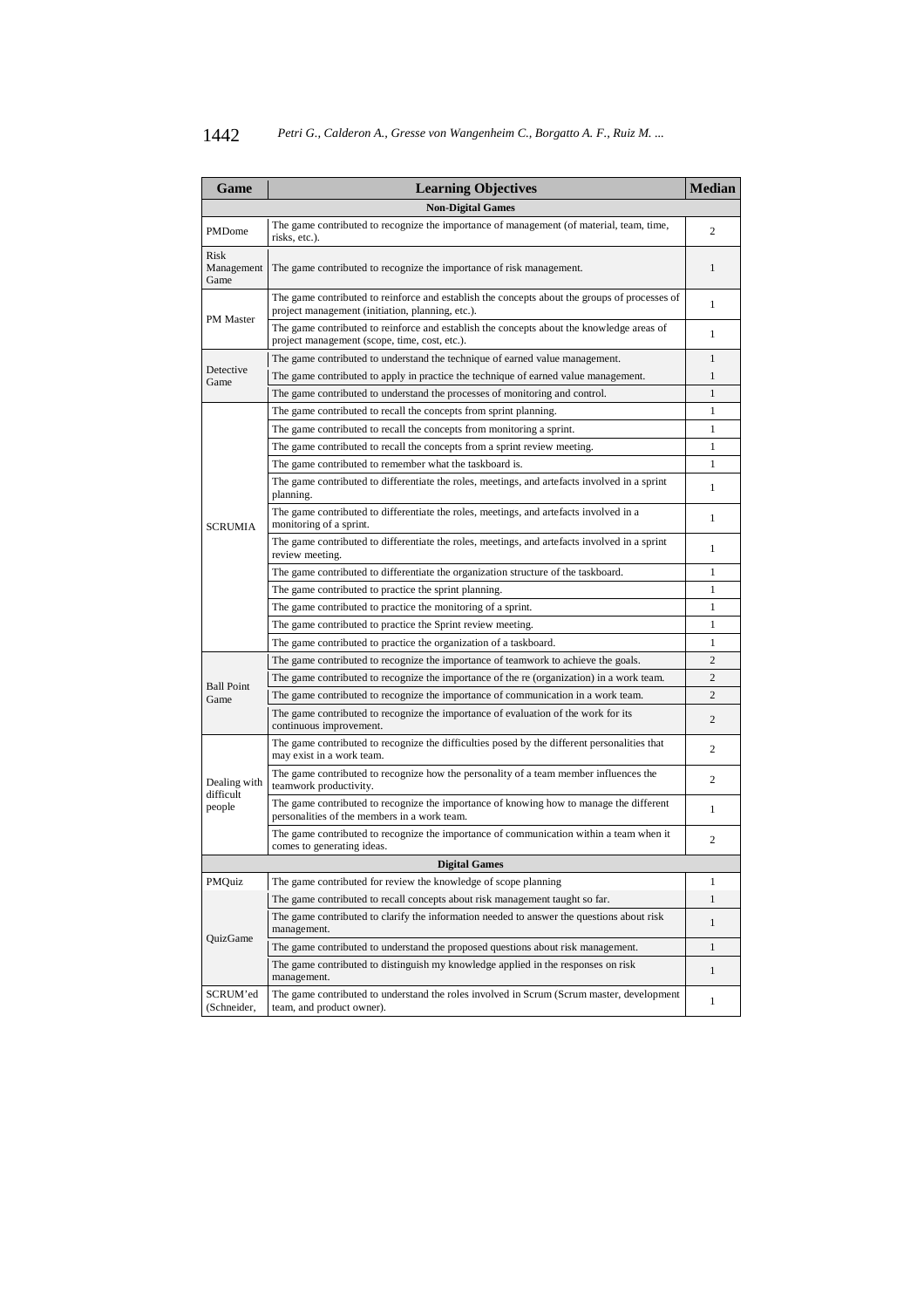| Game                       | <b>Learning Objectives</b>                                                                                                                        | <b>Median</b>  |
|----------------------------|---------------------------------------------------------------------------------------------------------------------------------------------------|----------------|
|                            | <b>Non-Digital Games</b>                                                                                                                          |                |
| <b>PMDome</b>              | The game contributed to recognize the importance of management (of material, team, time,<br>risks, etc.).                                         | 2              |
| Risk<br>Management<br>Game | The game contributed to recognize the importance of risk management.                                                                              | $\mathbf{1}$   |
|                            | The game contributed to reinforce and establish the concepts about the groups of processes of<br>project management (initiation, planning, etc.). | $\mathbf{1}$   |
| <b>PM</b> Master           | The game contributed to reinforce and establish the concepts about the knowledge areas of<br>project management (scope, time, cost, etc.).        | 1              |
|                            | The game contributed to understand the technique of earned value management.                                                                      | 1              |
| Detective<br>Game          | The game contributed to apply in practice the technique of earned value management.                                                               | $\mathbf{1}$   |
|                            | The game contributed to understand the processes of monitoring and control.                                                                       | 1              |
|                            | The game contributed to recall the concepts from sprint planning.                                                                                 | 1              |
|                            | The game contributed to recall the concepts from monitoring a sprint.                                                                             | 1              |
|                            | The game contributed to recall the concepts from a sprint review meeting.                                                                         | 1              |
|                            | The game contributed to remember what the taskboard is.                                                                                           | 1              |
|                            | The game contributed to differentiate the roles, meetings, and artefacts involved in a sprint<br>planning.                                        | $\mathbf{1}$   |
| <b>SCRUMIA</b>             | The game contributed to differentiate the roles, meetings, and artefacts involved in a<br>monitoring of a sprint.                                 | 1              |
|                            | The game contributed to differentiate the roles, meetings, and artefacts involved in a sprint<br>review meeting.                                  | 1              |
|                            | The game contributed to differentiate the organization structure of the taskboard.                                                                | 1              |
|                            | The game contributed to practice the sprint planning.                                                                                             | 1              |
|                            | The game contributed to practice the monitoring of a sprint.                                                                                      | 1              |
|                            | The game contributed to practice the Sprint review meeting.                                                                                       | 1              |
|                            | The game contributed to practice the organization of a taskboard.                                                                                 | 1              |
|                            | The game contributed to recognize the importance of teamwork to achieve the goals.                                                                | $\overline{c}$ |
| <b>Ball Point</b>          | The game contributed to recognize the importance of the re (organization) in a work team.                                                         | $\overline{c}$ |
| Game                       | The game contributed to recognize the importance of communication in a work team.                                                                 | $\overline{c}$ |
|                            | The game contributed to recognize the importance of evaluation of the work for its<br>continuous improvement.                                     | 2              |
|                            | The game contributed to recognize the difficulties posed by the different personalities that<br>may exist in a work team.                         | $\overline{c}$ |
| Dealing with<br>difficult  | The game contributed to recognize how the personality of a team member influences the<br>teamwork productivity.                                   | 2              |
| people                     | The game contributed to recognize the importance of knowing how to manage the different<br>personalities of the members in a work team.           | $\mathbf{1}$   |
|                            | The game contributed to recognize the importance of communication within a team when it<br>comes to generating ideas.                             | $\overline{c}$ |
|                            | <b>Digital Games</b>                                                                                                                              |                |
| PMQuiz                     | The game contributed for review the knowledge of scope planning                                                                                   | 1              |
|                            | The game contributed to recall concepts about risk management taught so far.                                                                      | 1              |
| QuizGame                   | The game contributed to clarify the information needed to answer the questions about risk<br>management.                                          | $\mathbf{1}$   |
|                            | The game contributed to understand the proposed questions about risk management.                                                                  | $\mathbf{1}$   |
|                            | The game contributed to distinguish my knowledge applied in the responses on risk<br>management.                                                  | $\mathbf{1}$   |
| SCRUM'ed<br>(Schneider,    | The game contributed to understand the roles involved in Scrum (Scrum master, development<br>team, and product owner).                            | $\mathbf{1}$   |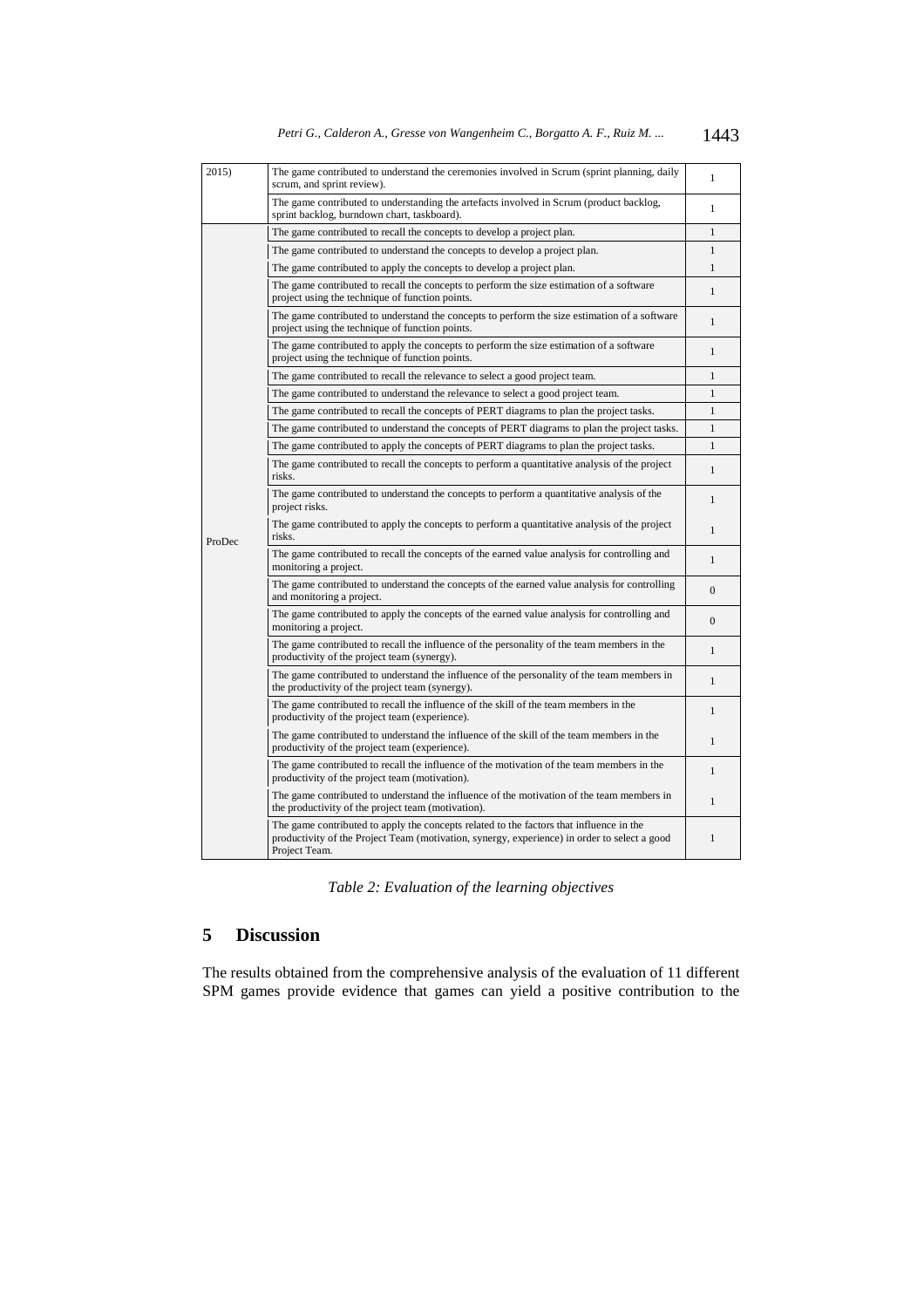| Petri G., Calderon A., Gresse von Wangenheim C., Borgatto A. F., Ruiz M. |  |  |  |  |  |  | 1443 |
|--------------------------------------------------------------------------|--|--|--|--|--|--|------|
|--------------------------------------------------------------------------|--|--|--|--|--|--|------|

| 2015)  | The game contributed to understand the ceremonies involved in Scrum (sprint planning, daily<br>scrum, and sprint review).                                                                                | 1              |
|--------|----------------------------------------------------------------------------------------------------------------------------------------------------------------------------------------------------------|----------------|
|        | The game contributed to understanding the artefacts involved in Scrum (product backlog,<br>sprint backlog, burndown chart, taskboard).                                                                   | $\mathbf{1}$   |
|        | The game contributed to recall the concepts to develop a project plan.                                                                                                                                   | $\mathbf{1}$   |
|        | The game contributed to understand the concepts to develop a project plan.                                                                                                                               | $\mathbf{1}$   |
|        | The game contributed to apply the concepts to develop a project plan.                                                                                                                                    | $\mathbf{1}$   |
|        | The game contributed to recall the concepts to perform the size estimation of a software<br>project using the technique of function points.                                                              | $\mathbf{1}$   |
|        | The game contributed to understand the concepts to perform the size estimation of a software<br>project using the technique of function points.                                                          | $\mathbf{1}$   |
|        | The game contributed to apply the concepts to perform the size estimation of a software<br>project using the technique of function points.                                                               | $\mathbf{1}$   |
|        | The game contributed to recall the relevance to select a good project team.                                                                                                                              | $\mathbf{1}$   |
|        | The game contributed to understand the relevance to select a good project team.                                                                                                                          | $\mathbf{1}$   |
|        | The game contributed to recall the concepts of PERT diagrams to plan the project tasks.                                                                                                                  | $\mathbf{1}$   |
|        | The game contributed to understand the concepts of PERT diagrams to plan the project tasks.                                                                                                              | $\mathbf{1}$   |
|        | The game contributed to apply the concepts of PERT diagrams to plan the project tasks.                                                                                                                   | $\mathbf{1}$   |
|        | The game contributed to recall the concepts to perform a quantitative analysis of the project<br>risks.                                                                                                  | $\mathbf{1}$   |
|        | The game contributed to understand the concepts to perform a quantitative analysis of the<br>project risks.                                                                                              | $\mathbf{1}$   |
| ProDec | The game contributed to apply the concepts to perform a quantitative analysis of the project<br>risks.                                                                                                   | $\mathbf{1}$   |
|        | The game contributed to recall the concepts of the earned value analysis for controlling and<br>monitoring a project.                                                                                    | $\mathbf{1}$   |
|        | The game contributed to understand the concepts of the earned value analysis for controlling<br>and monitoring a project.                                                                                | $\overline{0}$ |
|        | The game contributed to apply the concepts of the earned value analysis for controlling and<br>monitoring a project.                                                                                     | $\overline{0}$ |
|        | The game contributed to recall the influence of the personality of the team members in the<br>productivity of the project team (synergy).                                                                | $\mathbf{1}$   |
|        | The game contributed to understand the influence of the personality of the team members in<br>the productivity of the project team (synergy).                                                            | $\mathbf{1}$   |
|        | The game contributed to recall the influence of the skill of the team members in the<br>productivity of the project team (experience).                                                                   | $\mathbf{1}$   |
|        | The game contributed to understand the influence of the skill of the team members in the<br>productivity of the project team (experience).                                                               | $\mathbf{1}$   |
|        | The game contributed to recall the influence of the motivation of the team members in the<br>productivity of the project team (motivation).                                                              | $\mathbf{1}$   |
|        | The game contributed to understand the influence of the motivation of the team members in<br>the productivity of the project team (motivation).                                                          | $\mathbf{1}$   |
|        | The game contributed to apply the concepts related to the factors that influence in the<br>productivity of the Project Team (motivation, synergy, experience) in order to select a good<br>Project Team. | $\mathbf{1}$   |

*Table 2: Evaluation of the learning objectives* 

# **5 Discussion**

The results obtained from the comprehensive analysis of the evaluation of 11 different SPM games provide evidence that games can yield a positive contribution to the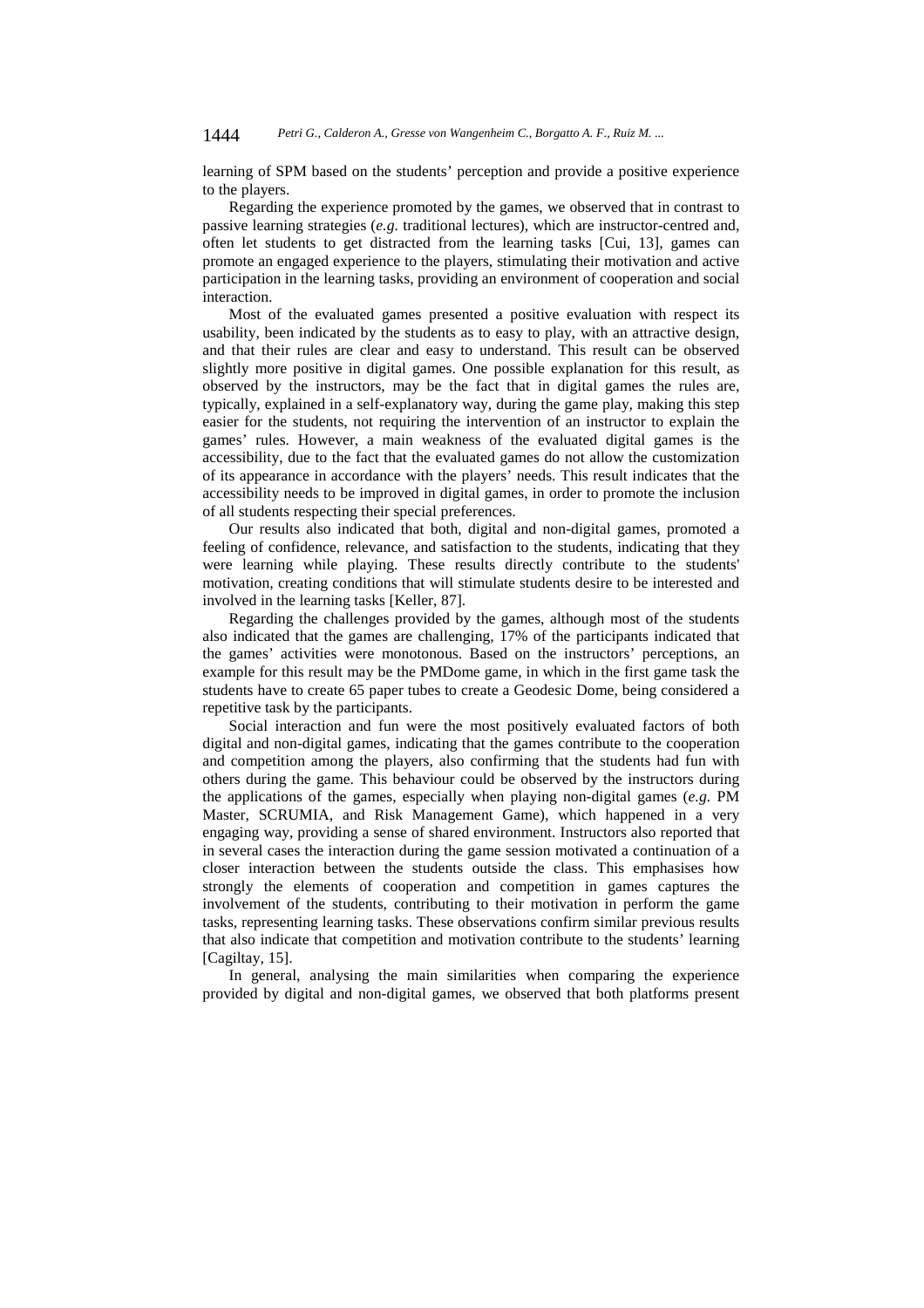learning of SPM based on the students' perception and provide a positive experience to the players.

Regarding the experience promoted by the games, we observed that in contrast to passive learning strategies (*e.g.* traditional lectures), which are instructor-centred and, often let students to get distracted from the learning tasks [Cui, 13], games can promote an engaged experience to the players, stimulating their motivation and active participation in the learning tasks, providing an environment of cooperation and social interaction.

Most of the evaluated games presented a positive evaluation with respect its usability, been indicated by the students as to easy to play, with an attractive design, and that their rules are clear and easy to understand. This result can be observed slightly more positive in digital games. One possible explanation for this result, as observed by the instructors, may be the fact that in digital games the rules are, typically, explained in a self-explanatory way, during the game play, making this step easier for the students, not requiring the intervention of an instructor to explain the games' rules. However, a main weakness of the evaluated digital games is the accessibility, due to the fact that the evaluated games do not allow the customization of its appearance in accordance with the players' needs. This result indicates that the accessibility needs to be improved in digital games, in order to promote the inclusion of all students respecting their special preferences.

Our results also indicated that both, digital and non-digital games, promoted a feeling of confidence, relevance, and satisfaction to the students, indicating that they were learning while playing. These results directly contribute to the students' motivation, creating conditions that will stimulate students desire to be interested and involved in the learning tasks [Keller, 87].

Regarding the challenges provided by the games, although most of the students also indicated that the games are challenging, 17% of the participants indicated that the games' activities were monotonous. Based on the instructors' perceptions, an example for this result may be the PMDome game, in which in the first game task the students have to create 65 paper tubes to create a Geodesic Dome, being considered a repetitive task by the participants.

Social interaction and fun were the most positively evaluated factors of both digital and non-digital games, indicating that the games contribute to the cooperation and competition among the players, also confirming that the students had fun with others during the game. This behaviour could be observed by the instructors during the applications of the games, especially when playing non-digital games (*e.g.* PM Master, SCRUMIA, and Risk Management Game), which happened in a very engaging way, providing a sense of shared environment. Instructors also reported that in several cases the interaction during the game session motivated a continuation of a closer interaction between the students outside the class. This emphasises how strongly the elements of cooperation and competition in games captures the involvement of the students, contributing to their motivation in perform the game tasks, representing learning tasks. These observations confirm similar previous results that also indicate that competition and motivation contribute to the students' learning [Cagiltay, 15].

In general, analysing the main similarities when comparing the experience provided by digital and non-digital games, we observed that both platforms present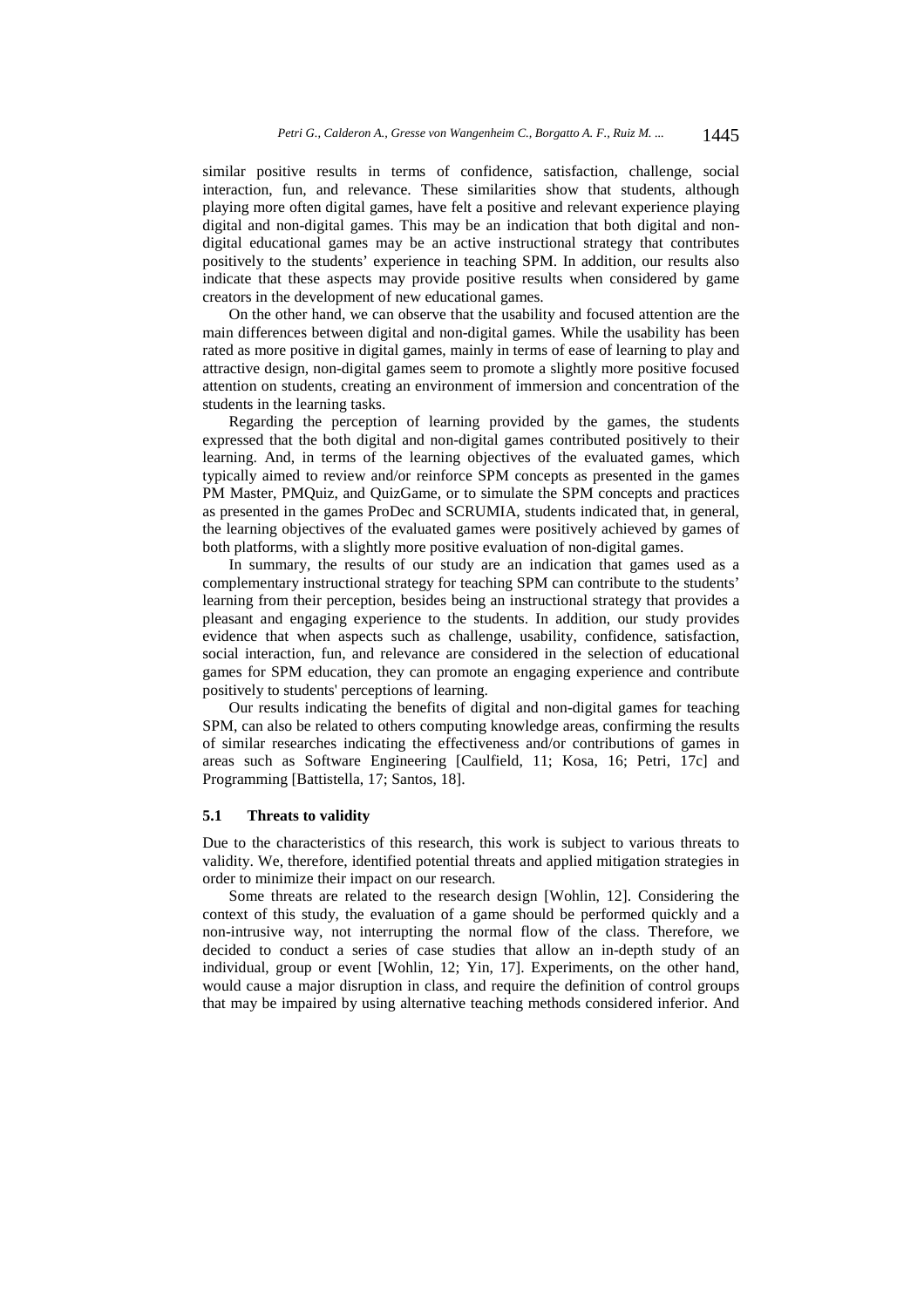similar positive results in terms of confidence, satisfaction, challenge, social interaction, fun, and relevance. These similarities show that students, although playing more often digital games, have felt a positive and relevant experience playing digital and non-digital games. This may be an indication that both digital and nondigital educational games may be an active instructional strategy that contributes positively to the students' experience in teaching SPM. In addition, our results also indicate that these aspects may provide positive results when considered by game creators in the development of new educational games.

On the other hand, we can observe that the usability and focused attention are the main differences between digital and non-digital games. While the usability has been rated as more positive in digital games, mainly in terms of ease of learning to play and attractive design, non-digital games seem to promote a slightly more positive focused attention on students, creating an environment of immersion and concentration of the students in the learning tasks.

Regarding the perception of learning provided by the games, the students expressed that the both digital and non-digital games contributed positively to their learning. And, in terms of the learning objectives of the evaluated games, which typically aimed to review and/or reinforce SPM concepts as presented in the games PM Master, PMQuiz, and QuizGame, or to simulate the SPM concepts and practices as presented in the games ProDec and SCRUMIA, students indicated that, in general, the learning objectives of the evaluated games were positively achieved by games of both platforms, with a slightly more positive evaluation of non-digital games.

In summary, the results of our study are an indication that games used as a complementary instructional strategy for teaching SPM can contribute to the students' learning from their perception, besides being an instructional strategy that provides a pleasant and engaging experience to the students. In addition, our study provides evidence that when aspects such as challenge, usability, confidence, satisfaction, social interaction, fun, and relevance are considered in the selection of educational games for SPM education, they can promote an engaging experience and contribute positively to students' perceptions of learning.

Our results indicating the benefits of digital and non-digital games for teaching SPM, can also be related to others computing knowledge areas, confirming the results of similar researches indicating the effectiveness and/or contributions of games in areas such as Software Engineering [Caulfield, 11; Kosa, 16; Petri, 17c] and Programming [Battistella, 17; Santos, 18].

# **5.1 Threats to validity**

Due to the characteristics of this research, this work is subject to various threats to validity. We, therefore, identified potential threats and applied mitigation strategies in order to minimize their impact on our research.

Some threats are related to the research design [Wohlin, 12]. Considering the context of this study, the evaluation of a game should be performed quickly and a non-intrusive way, not interrupting the normal flow of the class. Therefore, we decided to conduct a series of case studies that allow an in-depth study of an individual, group or event [Wohlin, 12; Yin, 17]. Experiments, on the other hand, would cause a major disruption in class, and require the definition of control groups that may be impaired by using alternative teaching methods considered inferior. And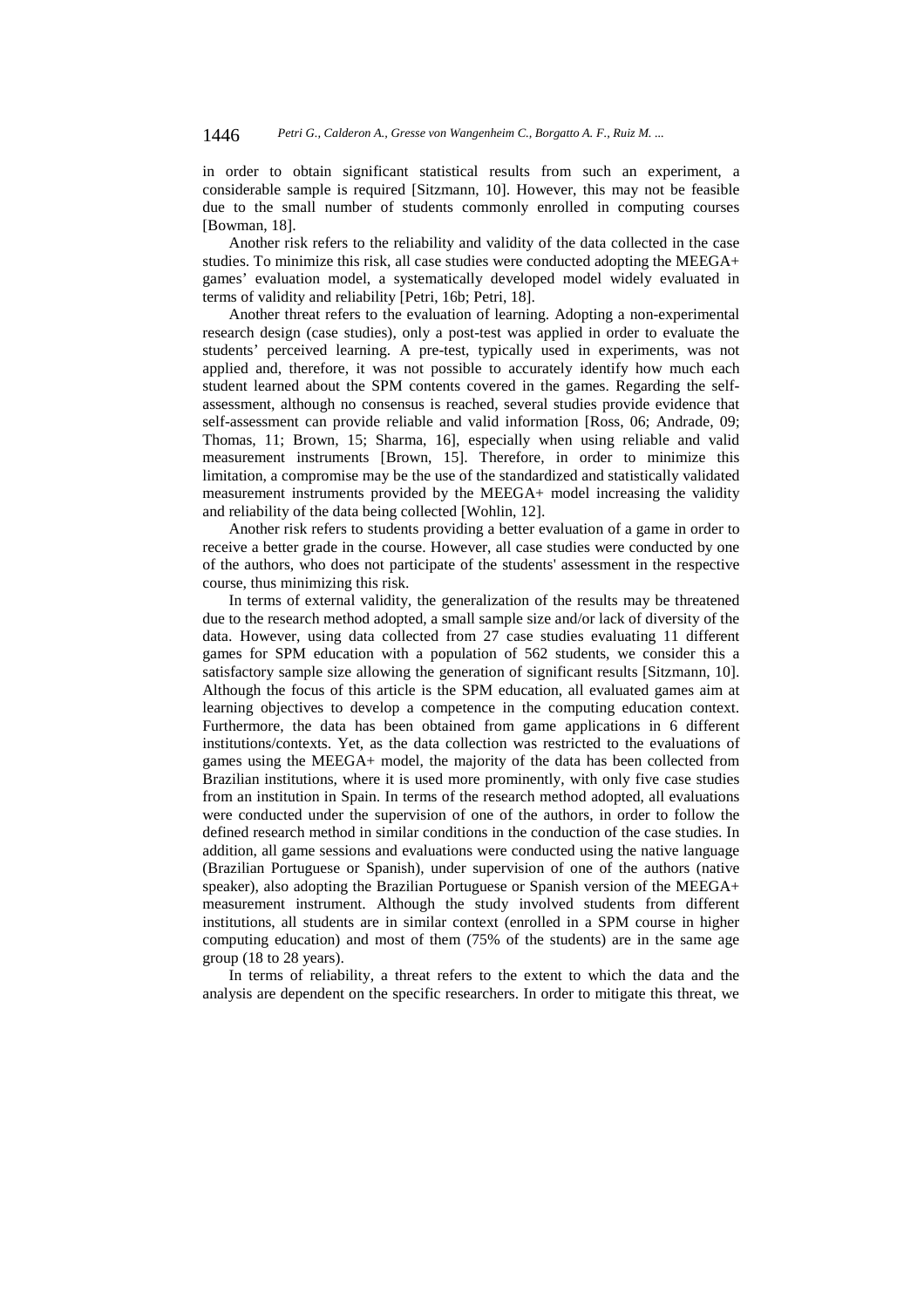in order to obtain significant statistical results from such an experiment, a considerable sample is required [Sitzmann, 10]. However, this may not be feasible due to the small number of students commonly enrolled in computing courses [Bowman, 18].

Another risk refers to the reliability and validity of the data collected in the case studies. To minimize this risk, all case studies were conducted adopting the MEEGA+ games' evaluation model, a systematically developed model widely evaluated in terms of validity and reliability [Petri, 16b; Petri, 18].

Another threat refers to the evaluation of learning. Adopting a non-experimental research design (case studies), only a post-test was applied in order to evaluate the students' perceived learning. A pre-test, typically used in experiments, was not applied and, therefore, it was not possible to accurately identify how much each student learned about the SPM contents covered in the games. Regarding the selfassessment, although no consensus is reached, several studies provide evidence that self-assessment can provide reliable and valid information [Ross, 06; Andrade, 09; Thomas, 11; Brown, 15; Sharma, 16], especially when using reliable and valid measurement instruments [Brown, 15]. Therefore, in order to minimize this limitation, a compromise may be the use of the standardized and statistically validated measurement instruments provided by the MEEGA+ model increasing the validity and reliability of the data being collected [Wohlin, 12].

Another risk refers to students providing a better evaluation of a game in order to receive a better grade in the course. However, all case studies were conducted by one of the authors, who does not participate of the students' assessment in the respective course, thus minimizing this risk.

In terms of external validity, the generalization of the results may be threatened due to the research method adopted, a small sample size and/or lack of diversity of the data. However, using data collected from 27 case studies evaluating 11 different games for SPM education with a population of 562 students, we consider this a satisfactory sample size allowing the generation of significant results [Sitzmann, 10]. Although the focus of this article is the SPM education, all evaluated games aim at learning objectives to develop a competence in the computing education context. Furthermore, the data has been obtained from game applications in 6 different institutions/contexts. Yet, as the data collection was restricted to the evaluations of games using the MEEGA+ model, the majority of the data has been collected from Brazilian institutions, where it is used more prominently, with only five case studies from an institution in Spain. In terms of the research method adopted, all evaluations were conducted under the supervision of one of the authors, in order to follow the defined research method in similar conditions in the conduction of the case studies. In addition, all game sessions and evaluations were conducted using the native language (Brazilian Portuguese or Spanish), under supervision of one of the authors (native speaker), also adopting the Brazilian Portuguese or Spanish version of the MEEGA+ measurement instrument. Although the study involved students from different institutions, all students are in similar context (enrolled in a SPM course in higher computing education) and most of them (75% of the students) are in the same age group (18 to 28 years).

In terms of reliability, a threat refers to the extent to which the data and the analysis are dependent on the specific researchers. In order to mitigate this threat, we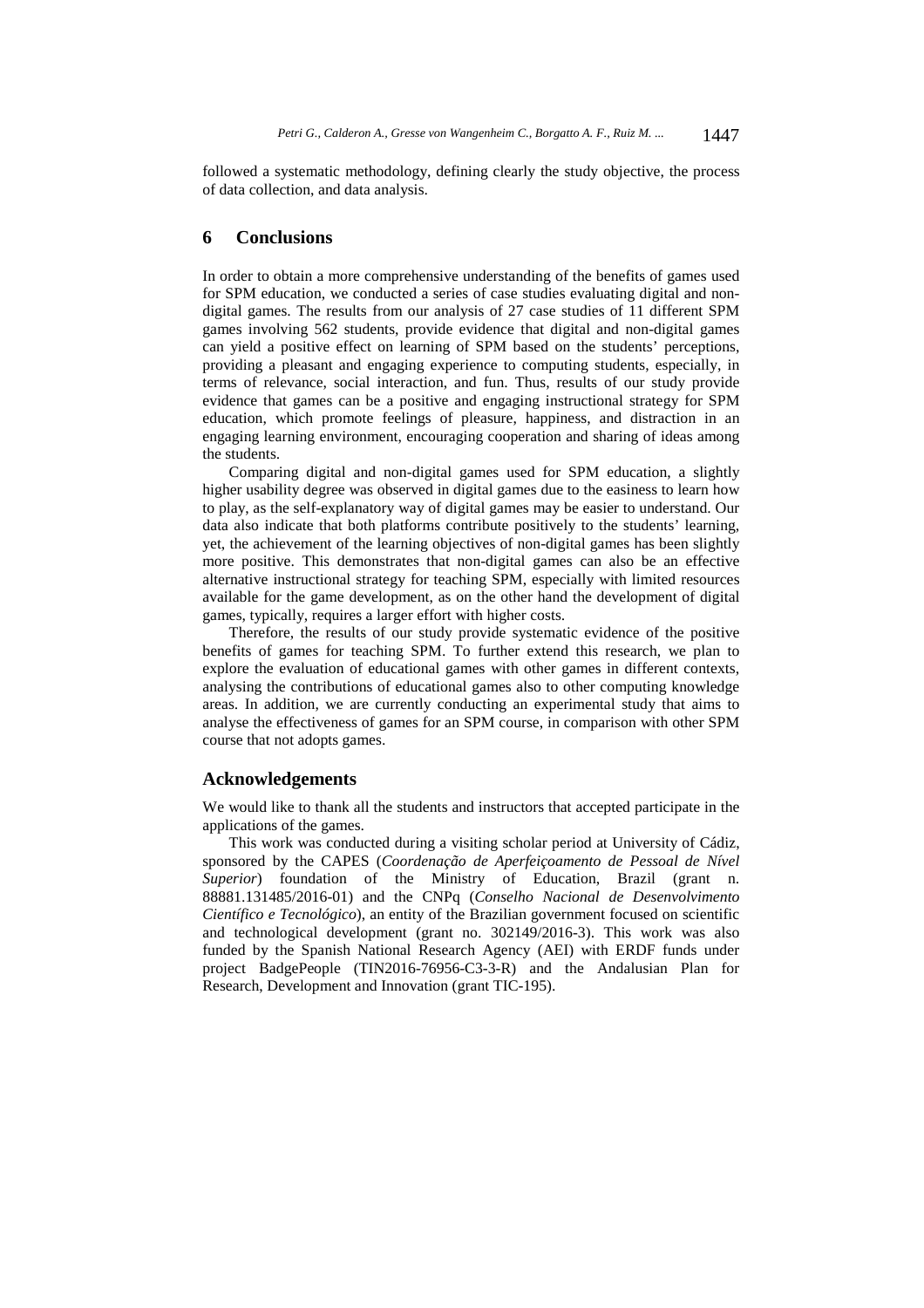followed a systematic methodology, defining clearly the study objective, the process of data collection, and data analysis.

# **6 Conclusions**

In order to obtain a more comprehensive understanding of the benefits of games used for SPM education, we conducted a series of case studies evaluating digital and nondigital games. The results from our analysis of 27 case studies of 11 different SPM games involving 562 students, provide evidence that digital and non-digital games can yield a positive effect on learning of SPM based on the students' perceptions, providing a pleasant and engaging experience to computing students, especially, in terms of relevance, social interaction, and fun. Thus, results of our study provide evidence that games can be a positive and engaging instructional strategy for SPM education, which promote feelings of pleasure, happiness, and distraction in an engaging learning environment, encouraging cooperation and sharing of ideas among the students.

Comparing digital and non-digital games used for SPM education, a slightly higher usability degree was observed in digital games due to the easiness to learn how to play, as the self-explanatory way of digital games may be easier to understand. Our data also indicate that both platforms contribute positively to the students' learning, yet, the achievement of the learning objectives of non-digital games has been slightly more positive. This demonstrates that non-digital games can also be an effective alternative instructional strategy for teaching SPM, especially with limited resources available for the game development, as on the other hand the development of digital games, typically, requires a larger effort with higher costs.

Therefore, the results of our study provide systematic evidence of the positive benefits of games for teaching SPM. To further extend this research, we plan to explore the evaluation of educational games with other games in different contexts, analysing the contributions of educational games also to other computing knowledge areas. In addition, we are currently conducting an experimental study that aims to analyse the effectiveness of games for an SPM course, in comparison with other SPM course that not adopts games.

# **Acknowledgements**

We would like to thank all the students and instructors that accepted participate in the applications of the games.

This work was conducted during a visiting scholar period at University of Cádiz, sponsored by the CAPES (*Coordenação de Aperfeiçoamento de Pessoal de Nível Superior*) foundation of the Ministry of Education, Brazil (grant n. 88881.131485/2016-01) and the CNPq (*Conselho Nacional de Desenvolvimento Científico e Tecnológico*), an entity of the Brazilian government focused on scientific and technological development (grant no. 302149/2016-3). This work was also funded by the Spanish National Research Agency (AEI) with ERDF funds under project BadgePeople (TIN2016-76956-C3-3-R) and the Andalusian Plan for Research, Development and Innovation (grant TIC-195).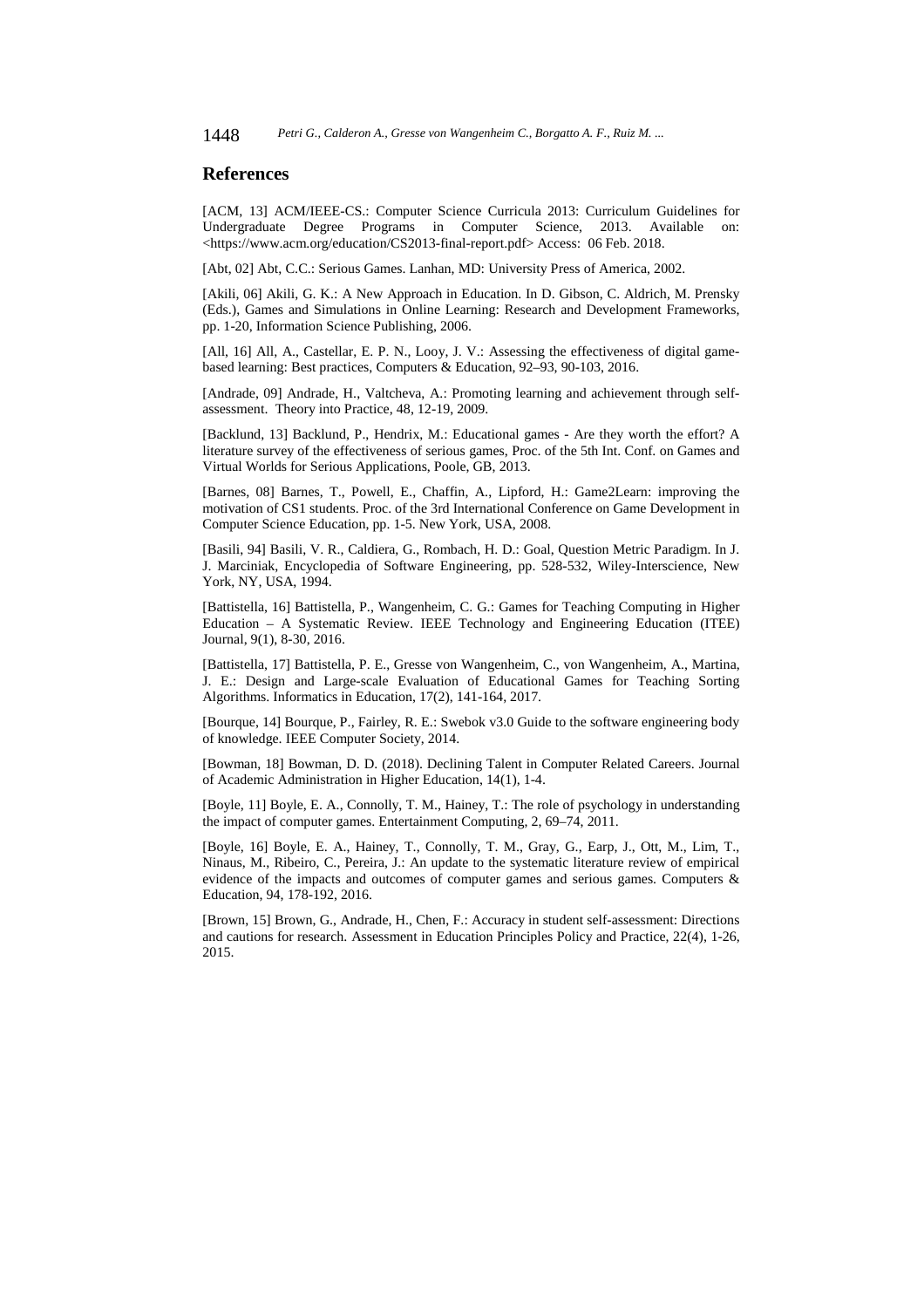# **References**

[ACM, 13] ACM/IEEE-CS.: Computer Science Curricula 2013: Curriculum Guidelines for Undergraduate Degree Programs in Computer Science, 2013. Available on: <https://www.acm.org/education/CS2013-final-report.pdf> Access: 06 Feb. 2018.

[Abt, 02] Abt, C.C.: Serious Games. Lanhan, MD: University Press of America, 2002.

[Akili, 06] Akili, G. K.: A New Approach in Education. In D. Gibson, C. Aldrich, M. Prensky (Eds.), Games and Simulations in Online Learning: Research and Development Frameworks, pp. 1-20, Information Science Publishing, 2006.

[All, 16] All, A., Castellar, E. P. N., Looy, J. V.: Assessing the effectiveness of digital gamebased learning: Best practices, Computers & Education, 92–93, 90-103, 2016.

[Andrade, 09] Andrade, H., Valtcheva, A.: Promoting learning and achievement through selfassessment. Theory into Practice, 48, 12-19, 2009.

[Backlund, 13] Backlund, P., Hendrix, M.: Educational games - Are they worth the effort? A literature survey of the effectiveness of serious games, Proc. of the 5th Int. Conf. on Games and Virtual Worlds for Serious Applications, Poole, GB, 2013.

[Barnes, 08] Barnes, T., Powell, E., Chaffin, A., Lipford, H.: Game2Learn: improving the motivation of CS1 students. Proc. of the 3rd International Conference on Game Development in Computer Science Education, pp. 1-5. New York, USA, 2008.

[Basili, 94] Basili, V. R., Caldiera, G., Rombach, H. D.: Goal, Question Metric Paradigm. In J. J. Marciniak, Encyclopedia of Software Engineering, pp. 528-532, Wiley-Interscience, New York, NY, USA, 1994.

[Battistella, 16] Battistella, P., Wangenheim, C. G.: Games for Teaching Computing in Higher Education – A Systematic Review. IEEE Technology and Engineering Education (ITEE) Journal, 9(1), 8-30, 2016.

[Battistella, 17] Battistella, P. E., Gresse von Wangenheim, C., von Wangenheim, A., Martina, J. E.: Design and Large-scale Evaluation of Educational Games for Teaching Sorting Algorithms. Informatics in Education, 17(2), 141-164, 2017.

[Bourque, 14] Bourque, P., Fairley, R. E.: Swebok v3.0 Guide to the software engineering body of knowledge. IEEE Computer Society, 2014.

[Bowman, 18] Bowman, D. D. (2018). Declining Talent in Computer Related Careers. Journal of Academic Administration in Higher Education, 14(1), 1-4.

[Boyle, 11] Boyle, E. A., Connolly, T. M., Hainey, T.: The role of psychology in understanding the impact of computer games. Entertainment Computing, 2, 69–74, 2011.

[Boyle, 16] Boyle, E. A., Hainey, T., Connolly, T. M., Gray, G., Earp, J., Ott, M., Lim, T., Ninaus, M., Ribeiro, C., Pereira, J.: An update to the systematic literature review of empirical evidence of the impacts and outcomes of computer games and serious games. Computers & Education, 94, 178-192, 2016.

[Brown, 15] Brown, G., Andrade, H., Chen, F.: Accuracy in student self-assessment: Directions and cautions for research. Assessment in Education Principles Policy and Practice, 22(4), 1-26, 2015.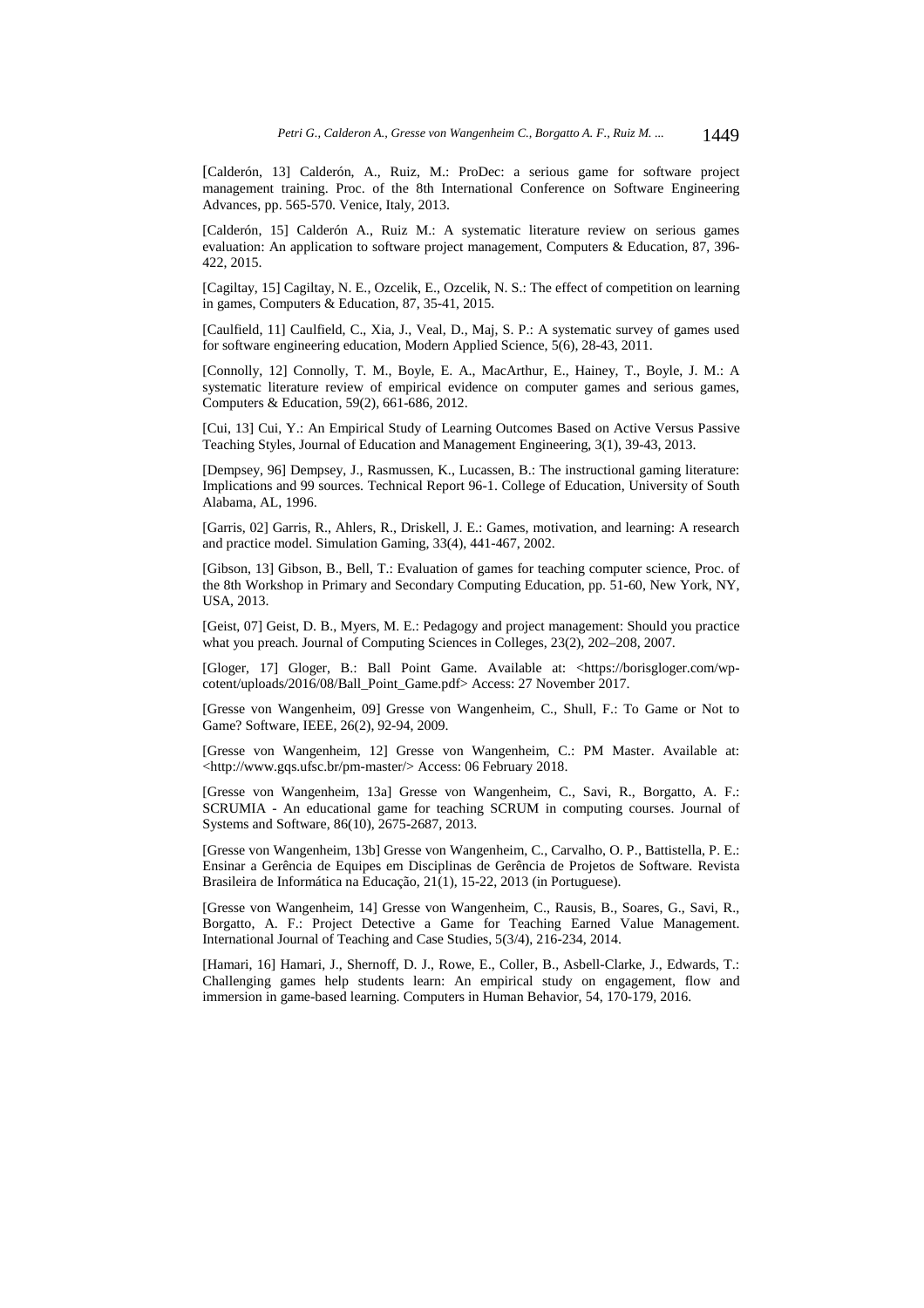[Calderón, 13] Calderón, A., Ruiz, M.: ProDec: a serious game for software project management training. Proc. of the 8th International Conference on Software Engineering Advances, pp. 565-570. Venice, Italy, 2013.

[Calderón, 15] Calderón A., Ruiz M.: A systematic literature review on serious games evaluation: An application to software project management, Computers & Education, 87, 396- 422, 2015.

[Cagiltay, 15] Cagiltay, N. E., Ozcelik, E., Ozcelik, N. S.: The effect of competition on learning in games, Computers & Education, 87, 35-41, 2015.

[Caulfield, 11] Caulfield, C., Xia, J., Veal, D., Maj, S. P.: A systematic survey of games used for software engineering education, Modern Applied Science, 5(6), 28-43, 2011.

[Connolly, 12] Connolly, T. M., Boyle, E. A., MacArthur, E., Hainey, T., Boyle, J. M.: A systematic literature review of empirical evidence on computer games and serious games, Computers & Education, 59(2), 661-686, 2012.

[Cui, 13] Cui, Y.: An Empirical Study of Learning Outcomes Based on Active Versus Passive Teaching Styles, Journal of Education and Management Engineering, 3(1), 39-43, 2013.

[Dempsey, 96] Dempsey, J., Rasmussen, K., Lucassen, B.: The instructional gaming literature: Implications and 99 sources. Technical Report 96-1. College of Education, University of South Alabama, AL, 1996.

[Garris, 02] Garris, R., Ahlers, R., Driskell, J. E.: Games, motivation, and learning: A research and practice model. Simulation Gaming, 33(4), 441-467, 2002.

[Gibson, 13] Gibson, B., Bell, T.: Evaluation of games for teaching computer science, Proc. of the 8th Workshop in Primary and Secondary Computing Education, pp. 51-60, New York, NY, USA, 2013.

[Geist, 07] Geist, D. B., Myers, M. E.: Pedagogy and project management: Should you practice what you preach. Journal of Computing Sciences in Colleges, 23(2), 202–208, 2007.

[Gloger, 17] Gloger, B.: Ball Point Game. Available at: <https://borisgloger.com/wpcotent/uploads/2016/08/Ball\_Point\_Game.pdf> Access: 27 November 2017.

[Gresse von Wangenheim, 09] Gresse von Wangenheim, C., Shull, F.: To Game or Not to Game? Software, IEEE, 26(2), 92-94, 2009.

[Gresse von Wangenheim, 12] Gresse von Wangenheim, C.: PM Master. Available at: <http://www.gqs.ufsc.br/pm-master/> Access: 06 February 2018.

[Gresse von Wangenheim, 13a] Gresse von Wangenheim, C., Savi, R., Borgatto, A. F.: SCRUMIA - An educational game for teaching SCRUM in computing courses. Journal of Systems and Software, 86(10), 2675-2687, 2013.

[Gresse von Wangenheim, 13b] Gresse von Wangenheim, C., Carvalho, O. P., Battistella, P. E.: Ensinar a Gerência de Equipes em Disciplinas de Gerência de Projetos de Software. Revista Brasileira de Informática na Educação, 21(1), 15-22, 2013 (in Portuguese).

[Gresse von Wangenheim, 14] Gresse von Wangenheim, C., Rausis, B., Soares, G., Savi, R., Borgatto, A. F.: Project Detective a Game for Teaching Earned Value Management. International Journal of Teaching and Case Studies, 5(3/4), 216-234, 2014.

[Hamari, 16] Hamari, J., Shernoff, D. J., Rowe, E., Coller, B., Asbell-Clarke, J., Edwards, T.: Challenging games help students learn: An empirical study on engagement, flow and immersion in game-based learning. Computers in Human Behavior, 54, 170-179, 2016.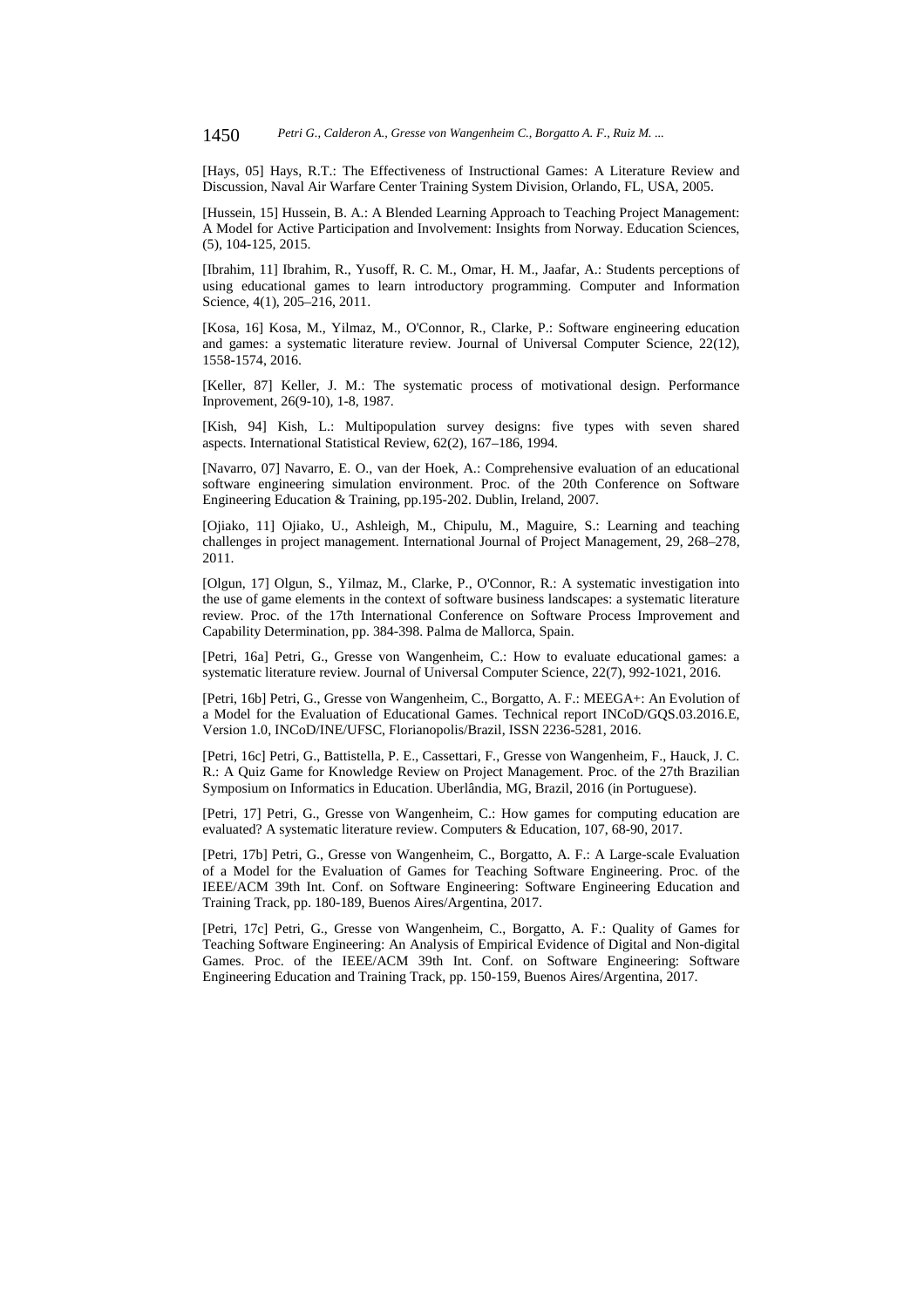[Hays, 05] Hays, R.T.: The Effectiveness of Instructional Games: A Literature Review and Discussion, Naval Air Warfare Center Training System Division, Orlando, FL, USA, 2005.

[Hussein, 15] Hussein, B. A.: A Blended Learning Approach to Teaching Project Management: A Model for Active Participation and Involvement: Insights from Norway. Education Sciences, (5), 104-125, 2015.

[Ibrahim, 11] Ibrahim, R., Yusoff, R. C. M., Omar, H. M., Jaafar, A.: Students perceptions of using educational games to learn introductory programming. Computer and Information Science, 4(1), 205-216, 2011.

[Kosa, 16] Kosa, M., Yilmaz, M., O'Connor, R., Clarke, P.: Software engineering education and games: a systematic literature review. Journal of Universal Computer Science, 22(12), 1558-1574, 2016.

[Keller, 87] Keller, J. M.: The systematic process of motivational design. Performance Inprovement, 26(9-10), 1-8, 1987.

[Kish, 94] Kish, L.: Multipopulation survey designs: five types with seven shared aspects. International Statistical Review, 62(2), 167–186, 1994.

[Navarro, 07] Navarro, E. O., van der Hoek, A.: Comprehensive evaluation of an educational software engineering simulation environment. Proc. of the 20th Conference on Software Engineering Education & Training, pp.195-202. Dublin, Ireland, 2007.

[Ojiako, 11] Ojiako, U., Ashleigh, M., Chipulu, M., Maguire, S.: Learning and teaching challenges in project management. International Journal of Project Management, 29, 268–278, 2011.

[Olgun, 17] Olgun, S., Yilmaz, M., Clarke, P., O'Connor, R.: A systematic investigation into the use of game elements in the context of software business landscapes: a systematic literature review. Proc. of the 17th International Conference on Software Process Improvement and Capability Determination, pp. 384-398. Palma de Mallorca, Spain.

[Petri, 16a] Petri, G., Gresse von Wangenheim, C.: How to evaluate educational games: a systematic literature review. Journal of Universal Computer Science, 22(7), 992-1021, 2016.

[Petri, 16b] Petri, G., Gresse von Wangenheim, C., Borgatto, A. F.: MEEGA+: An Evolution of a Model for the Evaluation of Educational Games. Technical report INCoD/GQS.03.2016.E, Version 1.0, INCoD/INE/UFSC, Florianopolis/Brazil, ISSN 2236-5281, 2016.

[Petri, 16c] Petri, G., Battistella, P. E., Cassettari, F., Gresse von Wangenheim, F., Hauck, J. C. R.: A Quiz Game for Knowledge Review on Project Management. Proc. of the 27th Brazilian Symposium on Informatics in Education. Uberlândia, MG, Brazil, 2016 (in Portuguese).

[Petri, 17] Petri, G., Gresse von Wangenheim, C.: How games for computing education are evaluated? A systematic literature review. Computers & Education, 107, 68-90, 2017.

[Petri, 17b] Petri, G., Gresse von Wangenheim, C., Borgatto, A. F.: A Large-scale Evaluation of a Model for the Evaluation of Games for Teaching Software Engineering. Proc. of the IEEE/ACM 39th Int. Conf. on Software Engineering: Software Engineering Education and Training Track, pp. 180-189, Buenos Aires/Argentina, 2017.

[Petri, 17c] Petri, G., Gresse von Wangenheim, C., Borgatto, A. F.: Quality of Games for Teaching Software Engineering: An Analysis of Empirical Evidence of Digital and Non-digital Games. Proc. of the IEEE/ACM 39th Int. Conf. on Software Engineering: Software Engineering Education and Training Track, pp. 150-159, Buenos Aires/Argentina, 2017.